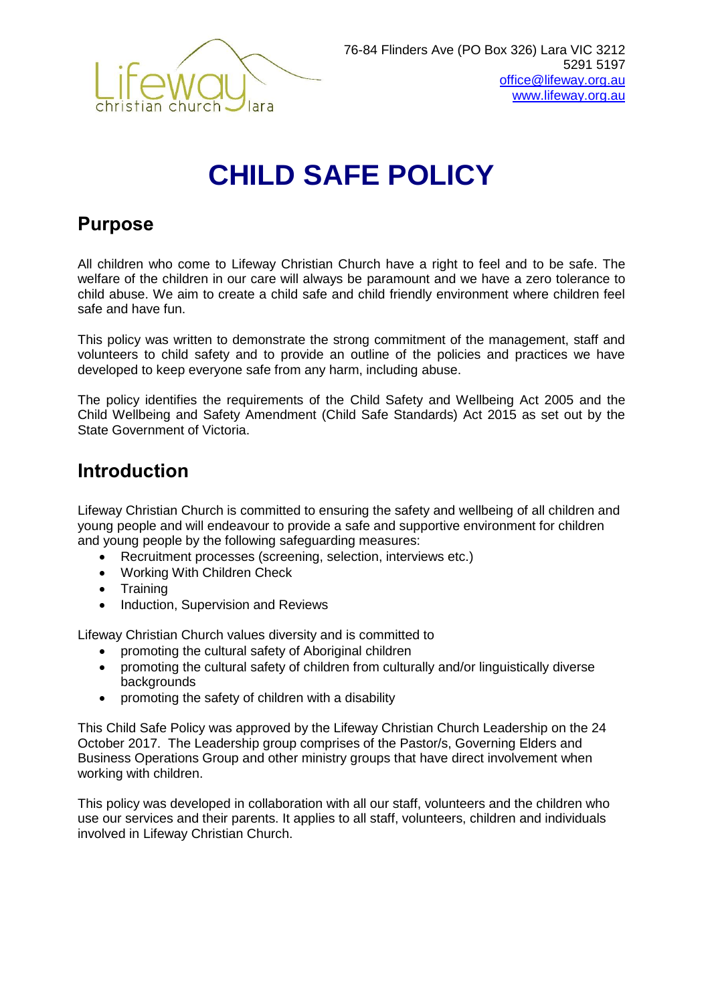

# **CHILD SAFE POLICY**

# **Purpose**

All children who come to Lifeway Christian Church have a right to feel and to be safe. The welfare of the children in our care will always be paramount and we have a zero tolerance to child abuse. We aim to create a child safe and child friendly environment where children feel safe and have fun.

This policy was written to demonstrate the strong commitment of the management, staff and volunteers to child safety and to provide an outline of the policies and practices we have developed to keep everyone safe from any harm, including abuse.

The policy identifies the requirements of the Child Safety and Wellbeing Act 2005 and the Child Wellbeing and Safety Amendment (Child Safe Standards) Act 2015 as set out by the State Government of Victoria.

# **Introduction**

Lifeway Christian Church is committed to ensuring the safety and wellbeing of all children and young people and will endeavour to provide a safe and supportive environment for children and young people by the following safeguarding measures:

- Recruitment processes (screening, selection, interviews etc.)
- Working With Children Check
- Training
- Induction, Supervision and Reviews

Lifeway Christian Church values diversity and is committed to

- promoting the cultural safety of Aboriginal children
- promoting the cultural safety of children from culturally and/or linguistically diverse backgrounds
- promoting the safety of children with a disability

This Child Safe Policy was approved by the Lifeway Christian Church Leadership on the 24 October 2017. The Leadership group comprises of the Pastor/s, Governing Elders and Business Operations Group and other ministry groups that have direct involvement when working with children.

This policy was developed in collaboration with all our staff, volunteers and the children who use our services and their parents. It applies to all staff, volunteers, children and individuals involved in Lifeway Christian Church.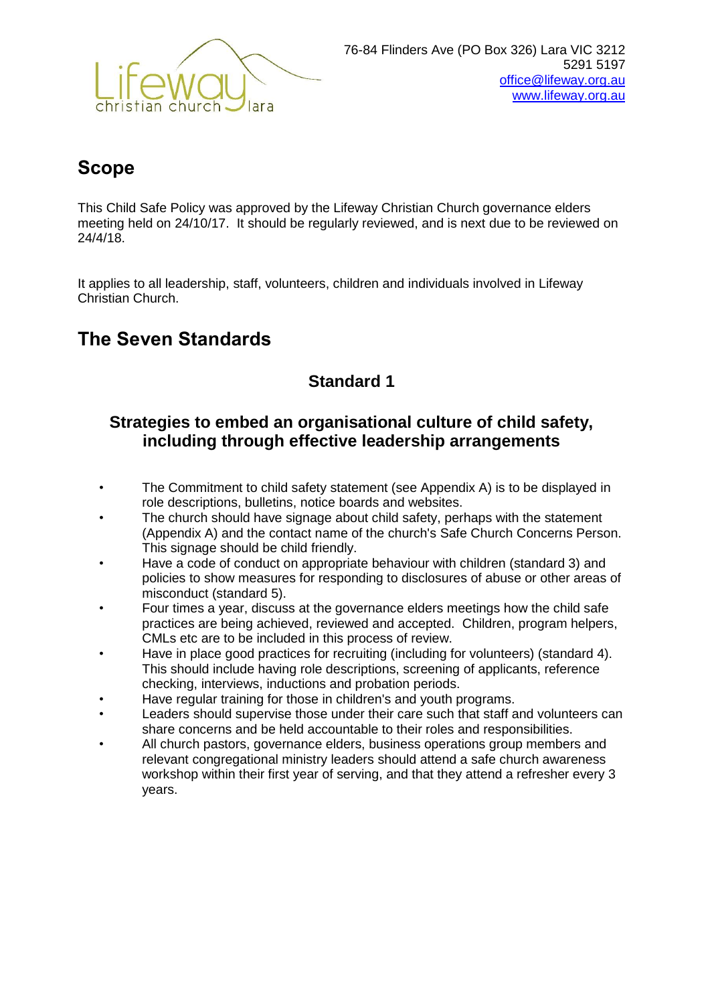

# **Scope**

This Child Safe Policy was approved by the Lifeway Christian Church governance elders meeting held on 24/10/17. It should be regularly reviewed, and is next due to be reviewed on 24/4/18.

It applies to all leadership, staff, volunteers, children and individuals involved in Lifeway Christian Church.

# **The Seven Standards**

# **Standard 1**

# **Strategies to embed an organisational culture of child safety, including through effective leadership arrangements**

- The Commitment to child safety statement (see Appendix A) is to be displayed in role descriptions, bulletins, notice boards and websites.
- The church should have signage about child safety, perhaps with the statement (Appendix A) and the contact name of the church's Safe Church Concerns Person. This signage should be child friendly.
- Have a code of conduct on appropriate behaviour with children (standard 3) and policies to show measures for responding to disclosures of abuse or other areas of misconduct (standard 5).
- Four times a year, discuss at the governance elders meetings how the child safe practices are being achieved, reviewed and accepted. Children, program helpers, CMLs etc are to be included in this process of review.
- Have in place good practices for recruiting (including for volunteers) (standard 4). This should include having role descriptions, screening of applicants, reference checking, interviews, inductions and probation periods.
- Have regular training for those in children's and youth programs.
- Leaders should supervise those under their care such that staff and volunteers can share concerns and be held accountable to their roles and responsibilities.
- All church pastors, governance elders, business operations group members and relevant congregational ministry leaders should attend a safe church awareness workshop within their first year of serving, and that they attend a refresher every 3 years.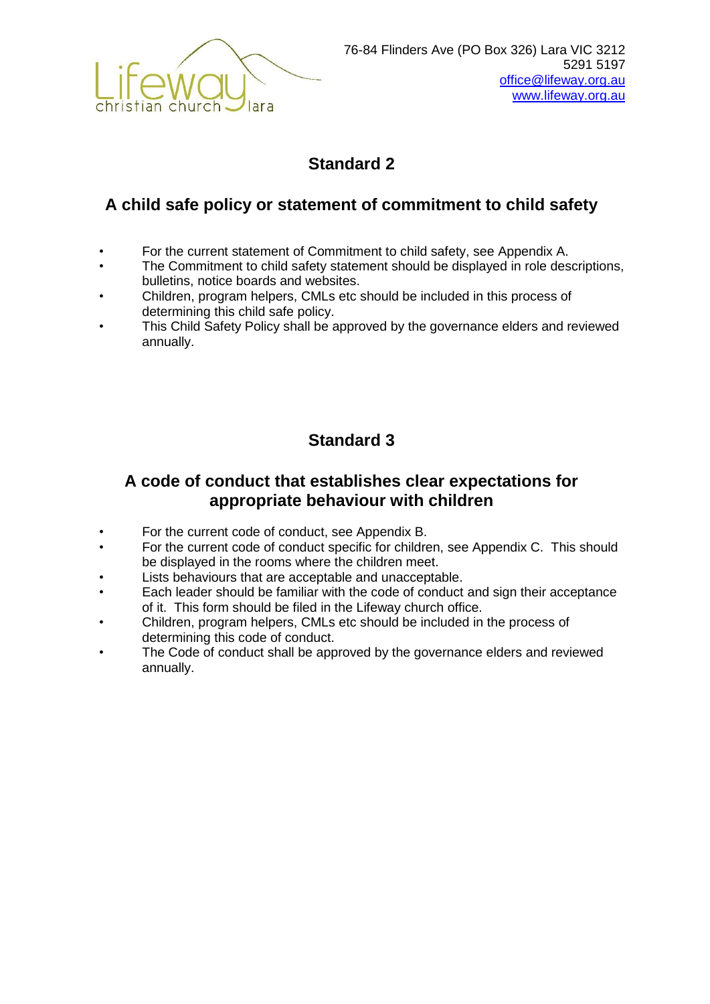

# **A child safe policy or statement of commitment to child safety**

- For the current statement of Commitment to child safety, see Appendix A.
- The Commitment to child safety statement should be displayed in role descriptions, bulletins, notice boards and websites.
- Children, program helpers, CMLs etc should be included in this process of determining this child safe policy.
- This Child Safety Policy shall be approved by the governance elders and reviewed annually.

# **Standard 3**

# **A code of conduct that establishes clear expectations for appropriate behaviour with children**

- For the current code of conduct, see Appendix B.
- For the current code of conduct specific for children, see Appendix C. This should be displayed in the rooms where the children meet.
- Lists behaviours that are acceptable and unacceptable.
- Each leader should be familiar with the code of conduct and sign their acceptance of it. This form should be filed in the Lifeway church office.
- Children, program helpers, CMLs etc should be included in the process of determining this code of conduct.
- The Code of conduct shall be approved by the governance elders and reviewed annually.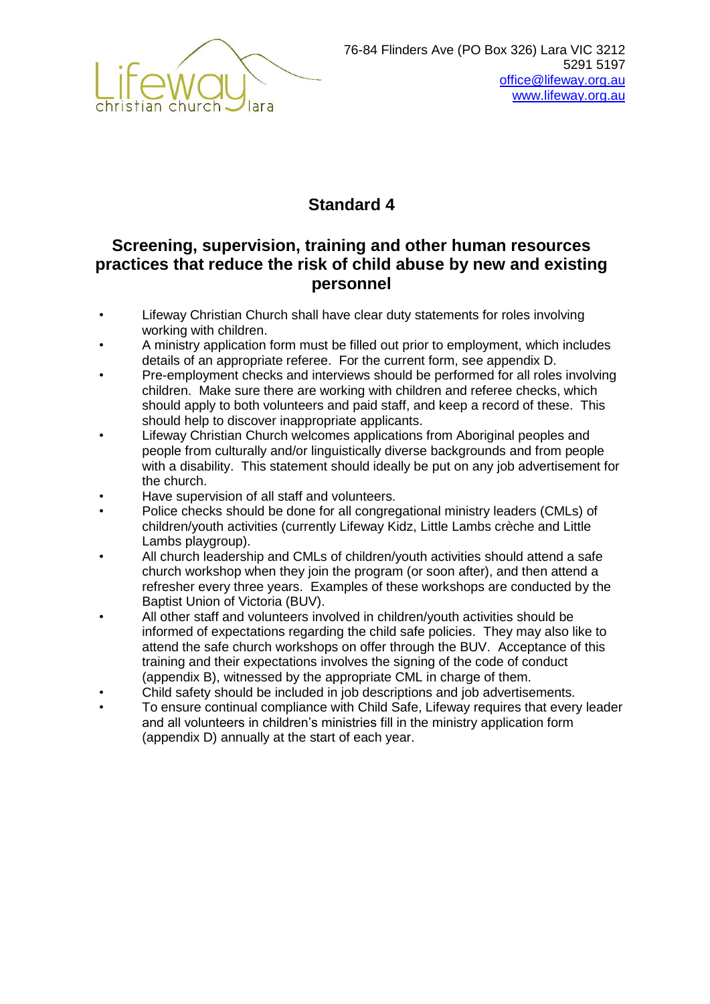

# **Screening, supervision, training and other human resources practices that reduce the risk of child abuse by new and existing personnel**

- Lifeway Christian Church shall have clear duty statements for roles involving working with children.
- A ministry application form must be filled out prior to employment, which includes details of an appropriate referee. For the current form, see appendix D.
- Pre-employment checks and interviews should be performed for all roles involving children. Make sure there are working with children and referee checks, which should apply to both volunteers and paid staff, and keep a record of these. This should help to discover inappropriate applicants.
- Lifeway Christian Church welcomes applications from Aboriginal peoples and people from culturally and/or linguistically diverse backgrounds and from people with a disability. This statement should ideally be put on any job advertisement for the church.
- Have supervision of all staff and volunteers.
- Police checks should be done for all congregational ministry leaders (CMLs) of children/youth activities (currently Lifeway Kidz, Little Lambs crèche and Little Lambs playgroup).
- All church leadership and CMLs of children/youth activities should attend a safe church workshop when they join the program (or soon after), and then attend a refresher every three years. Examples of these workshops are conducted by the Baptist Union of Victoria (BUV).
- All other staff and volunteers involved in children/youth activities should be informed of expectations regarding the child safe policies. They may also like to attend the safe church workshops on offer through the BUV. Acceptance of this training and their expectations involves the signing of the code of conduct (appendix B), witnessed by the appropriate CML in charge of them.
- Child safety should be included in job descriptions and job advertisements.
- To ensure continual compliance with Child Safe, Lifeway requires that every leader and all volunteers in children's ministries fill in the ministry application form (appendix D) annually at the start of each year.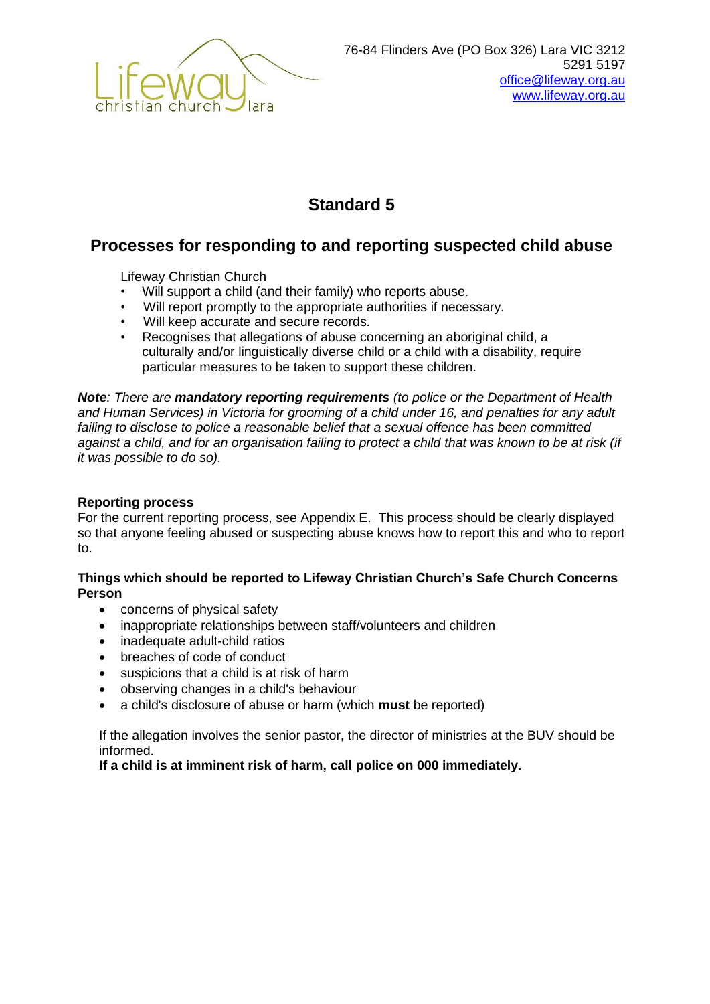

### **Processes for responding to and reporting suspected child abuse**

Lifeway Christian Church

- Will support a child (and their family) who reports abuse.
- Will report promptly to the appropriate authorities if necessary.
- Will keep accurate and secure records.
- Recognises that allegations of abuse concerning an aboriginal child, a culturally and/or linguistically diverse child or a child with a disability, require particular measures to be taken to support these children.

*Note: There are mandatory reporting requirements (to police or the Department of Health and Human Services) in Victoria for grooming of a child under 16, and penalties for any adult failing to disclose to police a reasonable belief that a sexual offence has been committed against a child, and for an organisation failing to protect a child that was known to be at risk (if it was possible to do so).*

#### **Reporting process**

For the current reporting process, see Appendix E. This process should be clearly displayed so that anyone feeling abused or suspecting abuse knows how to report this and who to report to.

#### **Things which should be reported to Lifeway Christian Church's Safe Church Concerns Person**

- concerns of physical safety
- inappropriate relationships between staff/volunteers and children
- inadequate adult-child ratios
- breaches of code of conduct
- suspicions that a child is at risk of harm
- observing changes in a child's behaviour
- a child's disclosure of abuse or harm (which **must** be reported)

If the allegation involves the senior pastor, the director of ministries at the BUV should be informed.

**If a child is at imminent risk of harm, call police on 000 immediately.**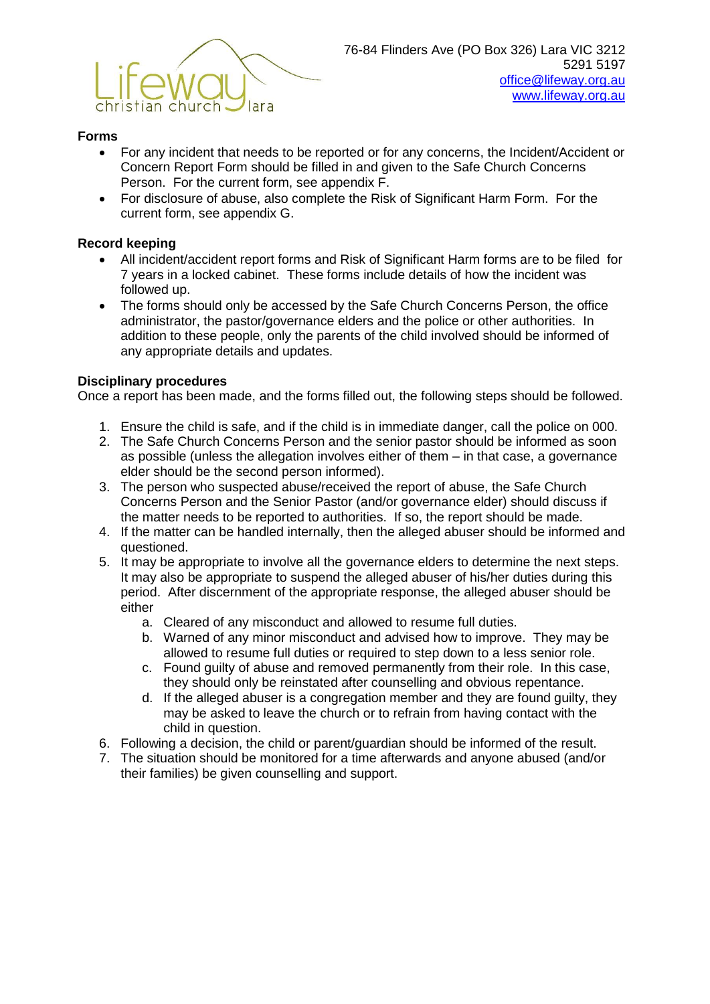

#### **Forms**

- For any incident that needs to be reported or for any concerns, the Incident/Accident or Concern Report Form should be filled in and given to the Safe Church Concerns Person. For the current form, see appendix F.
- For disclosure of abuse, also complete the Risk of Significant Harm Form. For the current form, see appendix G.

#### **Record keeping**

- All incident/accident report forms and Risk of Significant Harm forms are to be filed for 7 years in a locked cabinet. These forms include details of how the incident was followed up.
- The forms should only be accessed by the Safe Church Concerns Person, the office administrator, the pastor/governance elders and the police or other authorities. In addition to these people, only the parents of the child involved should be informed of any appropriate details and updates.

#### **Disciplinary procedures**

Once a report has been made, and the forms filled out, the following steps should be followed.

- 1. Ensure the child is safe, and if the child is in immediate danger, call the police on 000.
- 2. The Safe Church Concerns Person and the senior pastor should be informed as soon as possible (unless the allegation involves either of them – in that case, a governance elder should be the second person informed).
- 3. The person who suspected abuse/received the report of abuse, the Safe Church Concerns Person and the Senior Pastor (and/or governance elder) should discuss if the matter needs to be reported to authorities. If so, the report should be made.
- 4. If the matter can be handled internally, then the alleged abuser should be informed and questioned.
- 5. It may be appropriate to involve all the governance elders to determine the next steps. It may also be appropriate to suspend the alleged abuser of his/her duties during this period. After discernment of the appropriate response, the alleged abuser should be either
	- a. Cleared of any misconduct and allowed to resume full duties.
	- b. Warned of any minor misconduct and advised how to improve. They may be allowed to resume full duties or required to step down to a less senior role.
	- c. Found guilty of abuse and removed permanently from their role. In this case, they should only be reinstated after counselling and obvious repentance.
	- d. If the alleged abuser is a congregation member and they are found guilty, they may be asked to leave the church or to refrain from having contact with the child in question.
- 6. Following a decision, the child or parent/guardian should be informed of the result.
- 7. The situation should be monitored for a time afterwards and anyone abused (and/or their families) be given counselling and support.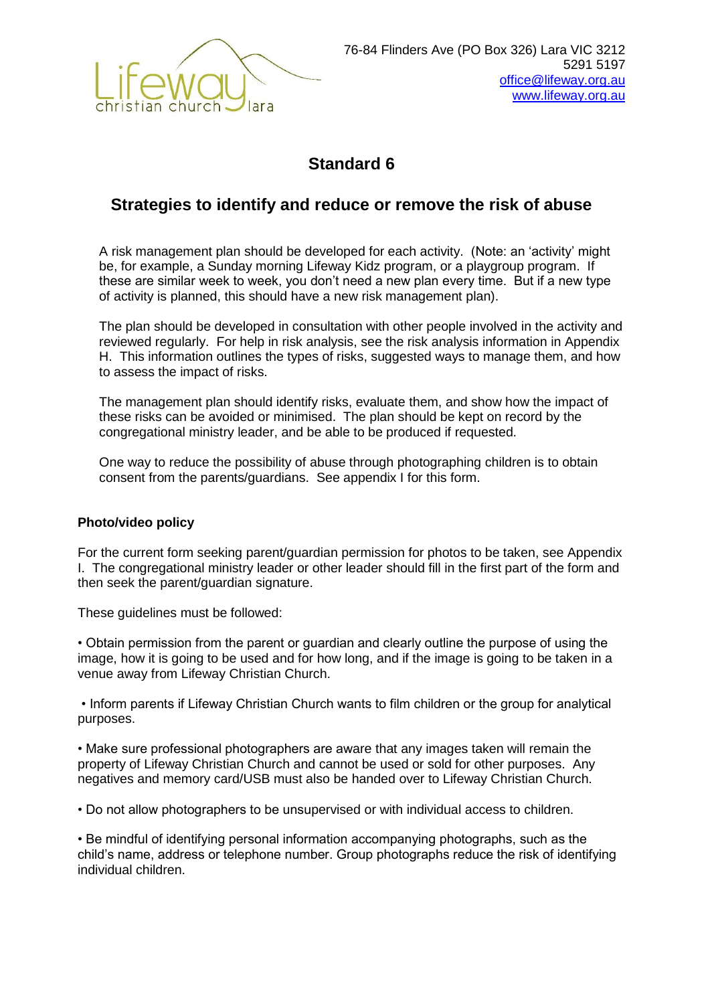

# **Strategies to identify and reduce or remove the risk of abuse**

A risk management plan should be developed for each activity. (Note: an 'activity' might be, for example, a Sunday morning Lifeway Kidz program, or a playgroup program. If these are similar week to week, you don't need a new plan every time. But if a new type of activity is planned, this should have a new risk management plan).

The plan should be developed in consultation with other people involved in the activity and reviewed regularly. For help in risk analysis, see the risk analysis information in Appendix H. This information outlines the types of risks, suggested ways to manage them, and how to assess the impact of risks.

The management plan should identify risks, evaluate them, and show how the impact of these risks can be avoided or minimised. The plan should be kept on record by the congregational ministry leader, and be able to be produced if requested.

One way to reduce the possibility of abuse through photographing children is to obtain consent from the parents/guardians. See appendix I for this form.

#### **Photo/video policy**

For the current form seeking parent/guardian permission for photos to be taken, see Appendix I. The congregational ministry leader or other leader should fill in the first part of the form and then seek the parent/guardian signature.

These guidelines must be followed:

• Obtain permission from the parent or guardian and clearly outline the purpose of using the image, how it is going to be used and for how long, and if the image is going to be taken in a venue away from Lifeway Christian Church.

• Inform parents if Lifeway Christian Church wants to film children or the group for analytical purposes.

• Make sure professional photographers are aware that any images taken will remain the property of Lifeway Christian Church and cannot be used or sold for other purposes. Any negatives and memory card/USB must also be handed over to Lifeway Christian Church.

• Do not allow photographers to be unsupervised or with individual access to children.

• Be mindful of identifying personal information accompanying photographs, such as the child's name, address or telephone number. Group photographs reduce the risk of identifying individual children.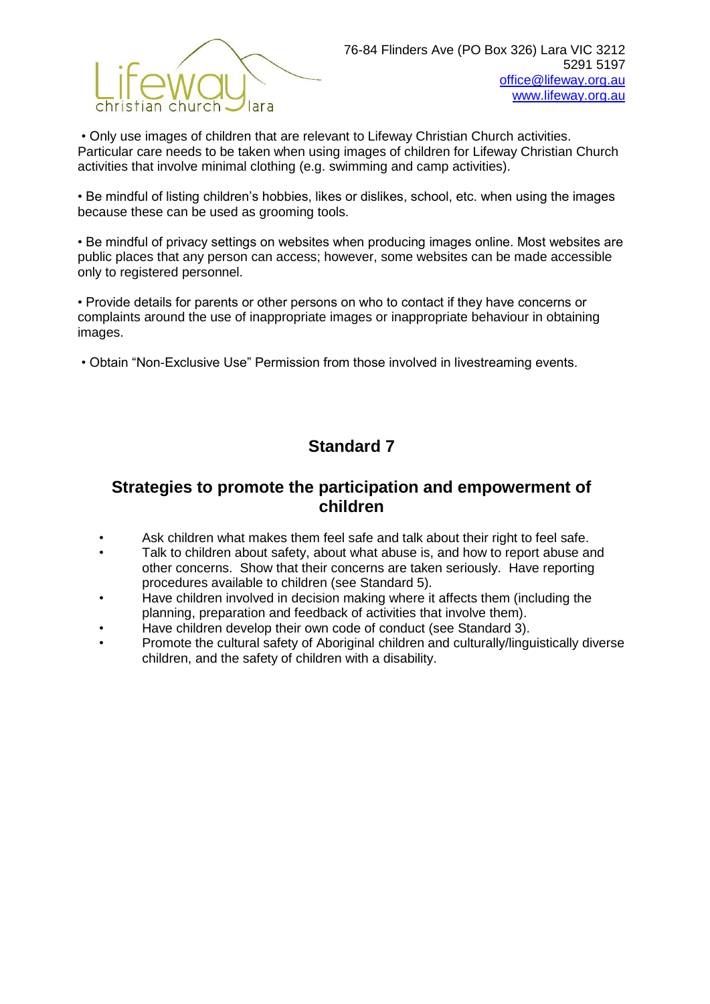

• Only use images of children that are relevant to Lifeway Christian Church activities. Particular care needs to be taken when using images of children for Lifeway Christian Church activities that involve minimal clothing (e.g. swimming and camp activities).

• Be mindful of listing children's hobbies, likes or dislikes, school, etc. when using the images because these can be used as grooming tools.

• Be mindful of privacy settings on websites when producing images online. Most websites are public places that any person can access; however, some websites can be made accessible only to registered personnel.

• Provide details for parents or other persons on who to contact if they have concerns or complaints around the use of inappropriate images or inappropriate behaviour in obtaining images.

• Obtain "Non-Exclusive Use" Permission from those involved in livestreaming events.

# **Standard 7**

### **Strategies to promote the participation and empowerment of children**

- Ask children what makes them feel safe and talk about their right to feel safe.
- Talk to children about safety, about what abuse is, and how to report abuse and other concerns. Show that their concerns are taken seriously. Have reporting procedures available to children (see Standard 5).
- Have children involved in decision making where it affects them (including the planning, preparation and feedback of activities that involve them).
- Have children develop their own code of conduct (see Standard 3).
- Promote the cultural safety of Aboriginal children and culturally/linguistically diverse children, and the safety of children with a disability.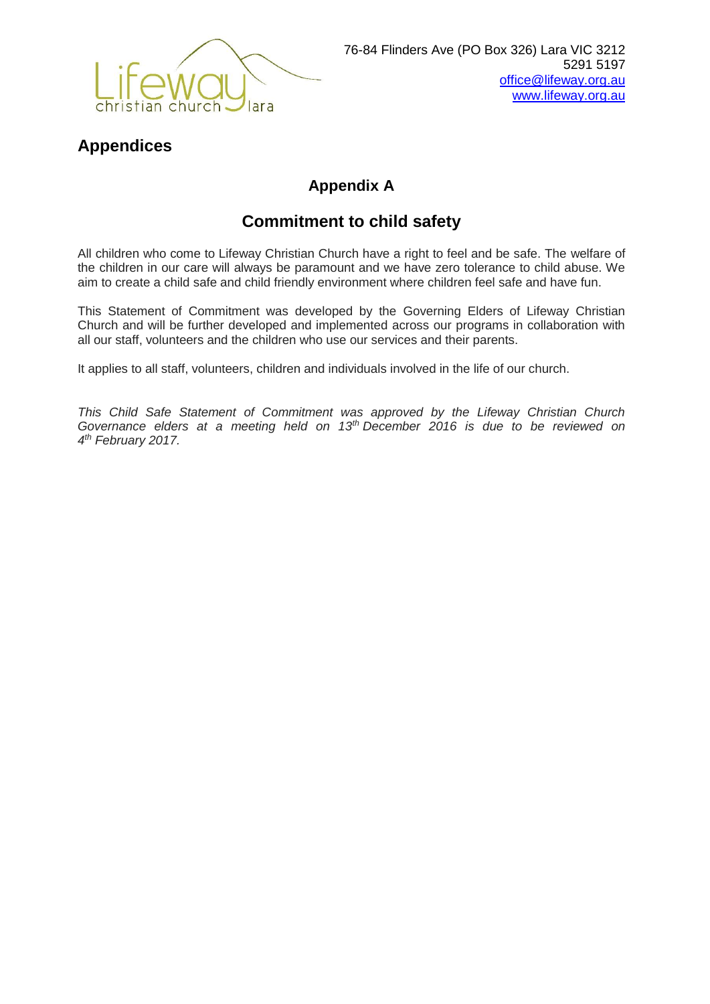

# **Appendices**

# **Appendix A**

# **Commitment to child safety**

All children who come to Lifeway Christian Church have a right to feel and be safe. The welfare of the children in our care will always be paramount and we have zero tolerance to child abuse. We aim to create a child safe and child friendly environment where children feel safe and have fun.

This Statement of Commitment was developed by the Governing Elders of Lifeway Christian Church and will be further developed and implemented across our programs in collaboration with all our staff, volunteers and the children who use our services and their parents.

It applies to all staff, volunteers, children and individuals involved in the life of our church.

*This Child Safe Statement of Commitment was approved by the Lifeway Christian Church Governance elders at a meeting held on 13th December 2016 is due to be reviewed on 4 th February 2017.*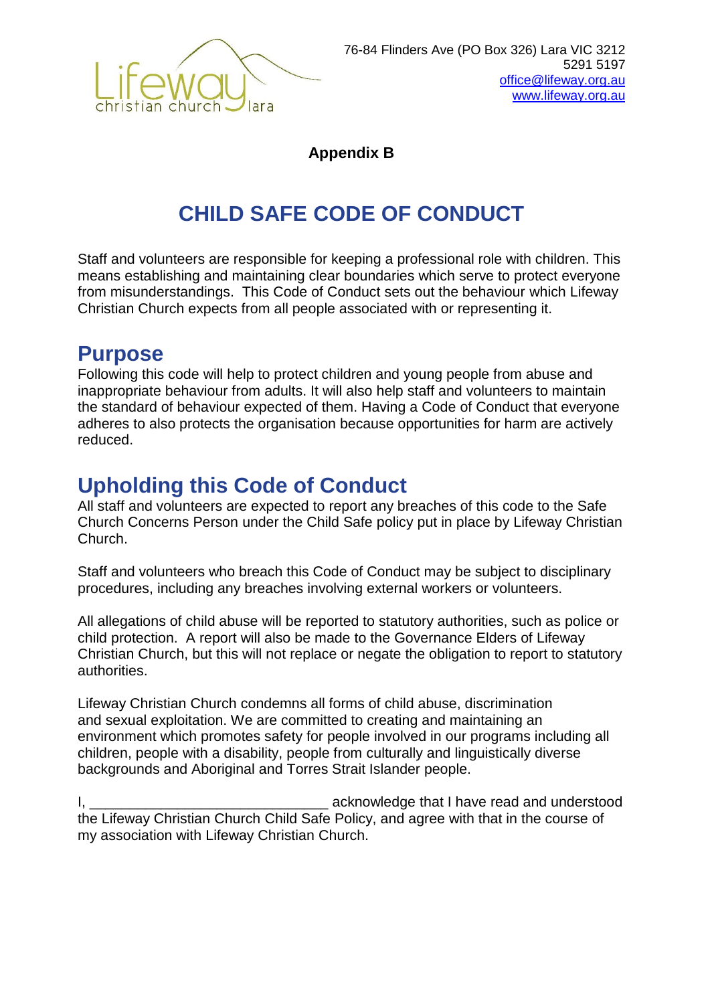

**Appendix B**

# **CHILD SAFE CODE OF CONDUCT**

Staff and volunteers are responsible for keeping a professional role with children. This means establishing and maintaining clear boundaries which serve to protect everyone from misunderstandings. This Code of Conduct sets out the behaviour which Lifeway Christian Church expects from all people associated with or representing it.

# **Purpose**

Following this code will help to protect children and young people from abuse and inappropriate behaviour from adults. It will also help staff and volunteers to maintain the standard of behaviour expected of them. Having a Code of Conduct that everyone adheres to also protects the organisation because opportunities for harm are actively reduced.

# **Upholding this Code of Conduct**

All staff and volunteers are expected to report any breaches of this code to the Safe Church Concerns Person under the Child Safe policy put in place by Lifeway Christian Church.

Staff and volunteers who breach this Code of Conduct may be subject to disciplinary procedures, including any breaches involving external workers or volunteers.

All allegations of child abuse will be reported to statutory authorities, such as police or child protection. A report will also be made to the Governance Elders of Lifeway Christian Church, but this will not replace or negate the obligation to report to statutory authorities.

Lifeway Christian Church condemns all forms of child abuse, discrimination and sexual exploitation. We are committed to creating and maintaining an environment which promotes safety for people involved in our programs including all children, people with a disability, people from culturally and linguistically diverse backgrounds and Aboriginal and Torres Strait Islander people.

I, **I** acknowledge that I have read and understood the Lifeway Christian Church Child Safe Policy, and agree with that in the course of my association with Lifeway Christian Church.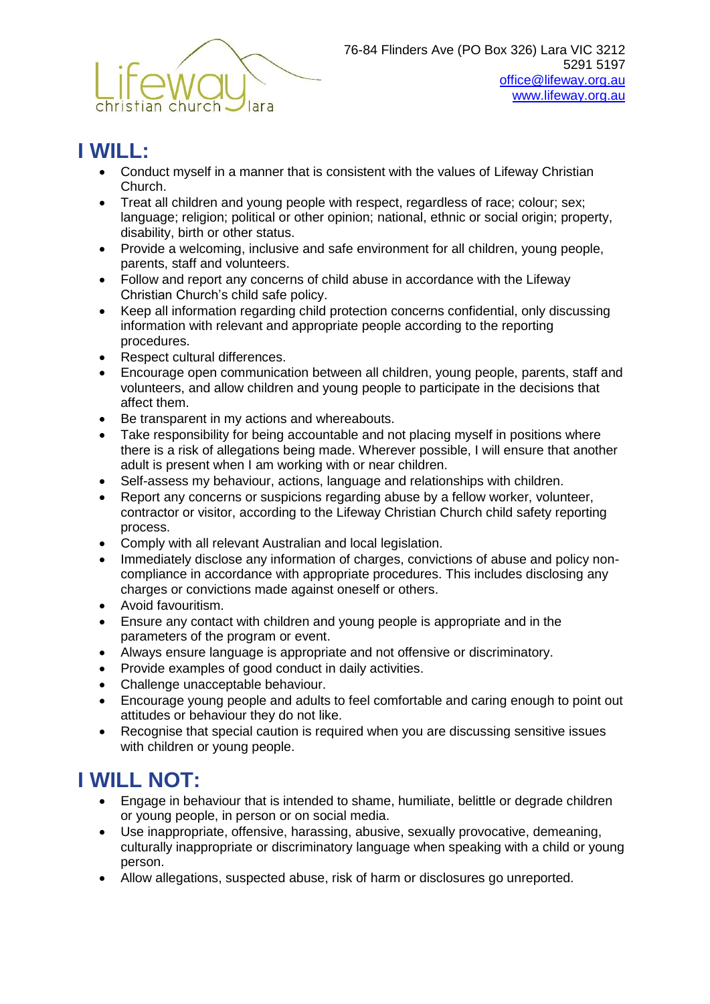

# **I WILL:**

- Conduct myself in a manner that is consistent with the values of Lifeway Christian Church.
- Treat all children and young people with respect, regardless of race; colour; sex; language; religion; political or other opinion; national, ethnic or social origin; property, disability, birth or other status.
- Provide a welcoming, inclusive and safe environment for all children, young people, parents, staff and volunteers.
- Follow and report any concerns of child abuse in accordance with the Lifeway Christian Church's child safe policy.
- Keep all information regarding child protection concerns confidential, only discussing information with relevant and appropriate people according to the reporting procedures.
- Respect cultural differences.
- Encourage open communication between all children, young people, parents, staff and volunteers, and allow children and young people to participate in the decisions that affect them.
- Be transparent in my actions and whereabouts.
- Take responsibility for being accountable and not placing myself in positions where there is a risk of allegations being made. Wherever possible, I will ensure that another adult is present when I am working with or near children.
- Self-assess my behaviour, actions, language and relationships with children.
- Report any concerns or suspicions regarding abuse by a fellow worker, volunteer, contractor or visitor, according to the Lifeway Christian Church child safety reporting process.
- Comply with all relevant Australian and local legislation.
- Immediately disclose any information of charges, convictions of abuse and policy noncompliance in accordance with appropriate procedures. This includes disclosing any charges or convictions made against oneself or others.
- Avoid favouritism.
- Ensure any contact with children and young people is appropriate and in the parameters of the program or event.
- Always ensure language is appropriate and not offensive or discriminatory.
- Provide examples of good conduct in daily activities.
- Challenge unacceptable behaviour.
- Encourage young people and adults to feel comfortable and caring enough to point out attitudes or behaviour they do not like.
- Recognise that special caution is required when you are discussing sensitive issues with children or young people.

# **I WILL NOT:**

- Engage in behaviour that is intended to shame, humiliate, belittle or degrade children or young people, in person or on social media.
- Use inappropriate, offensive, harassing, abusive, sexually provocative, demeaning, culturally inappropriate or discriminatory language when speaking with a child or young person.
- Allow allegations, suspected abuse, risk of harm or disclosures go unreported.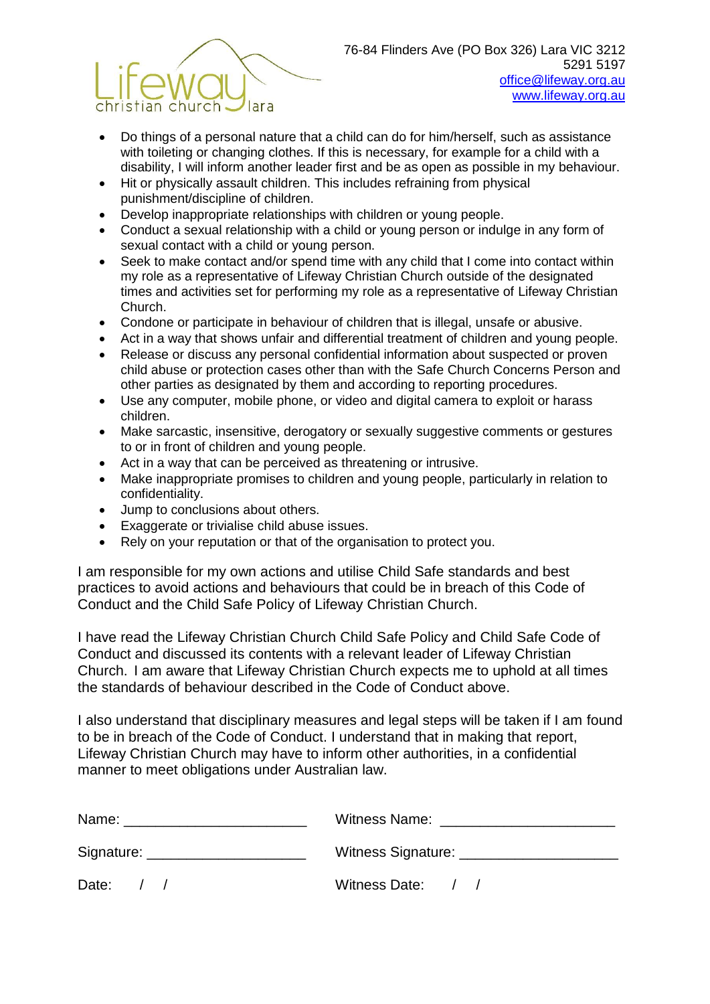

- Do things of a personal nature that a child can do for him/herself, such as assistance with toileting or changing clothes. If this is necessary, for example for a child with a disability, I will inform another leader first and be as open as possible in my behaviour.
- Hit or physically assault children. This includes refraining from physical punishment/discipline of children.
- Develop inappropriate relationships with children or young people.
- Conduct a sexual relationship with a child or young person or indulge in any form of sexual contact with a child or young person.
- Seek to make contact and/or spend time with any child that I come into contact within my role as a representative of Lifeway Christian Church outside of the designated times and activities set for performing my role as a representative of Lifeway Christian Church.
- Condone or participate in behaviour of children that is illegal, unsafe or abusive.
- Act in a way that shows unfair and differential treatment of children and young people.
- Release or discuss any personal confidential information about suspected or proven child abuse or protection cases other than with the Safe Church Concerns Person and other parties as designated by them and according to reporting procedures.
- Use any computer, mobile phone, or video and digital camera to exploit or harass children.
- Make sarcastic, insensitive, derogatory or sexually suggestive comments or gestures to or in front of children and young people.
- Act in a way that can be perceived as threatening or intrusive.
- Make inappropriate promises to children and young people, particularly in relation to confidentiality.
- Jump to conclusions about others.
- **Exaggerate or trivialise child abuse issues.**
- Rely on your reputation or that of the organisation to protect you.

I am responsible for my own actions and utilise Child Safe standards and best practices to avoid actions and behaviours that could be in breach of this Code of Conduct and the Child Safe Policy of Lifeway Christian Church.

I have read the Lifeway Christian Church Child Safe Policy and Child Safe Code of Conduct and discussed its contents with a relevant leader of Lifeway Christian Church. I am aware that Lifeway Christian Church expects me to uphold at all times the standards of behaviour described in the Code of Conduct above.

I also understand that disciplinary measures and legal steps will be taken if I am found to be in breach of the Code of Conduct. I understand that in making that report, Lifeway Christian Church may have to inform other authorities, in a confidential manner to meet obligations under Australian law.

| Name: ___________________________   | Witness Name: ______________________ |
|-------------------------------------|--------------------------------------|
| Signature: <u>www.community.com</u> | Witness Signature: _____________     |
| Date:                               | Witness Date: / /                    |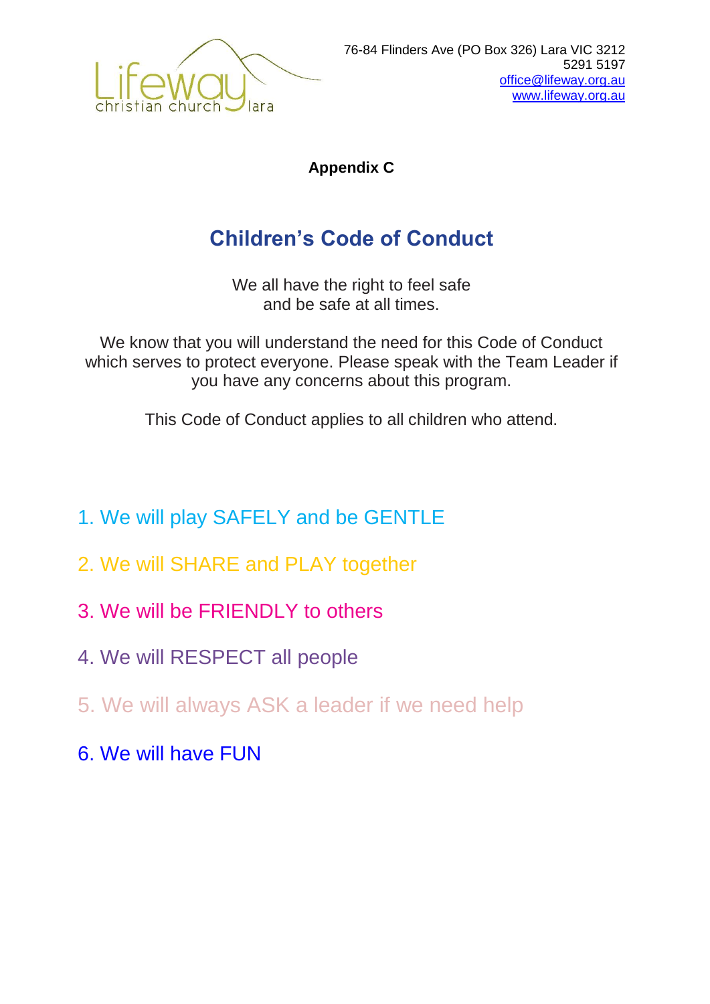

**Appendix C**

# **Children's Code of Conduct**

We all have the right to feel safe and be safe at all times.

We know that you will understand the need for this Code of Conduct which serves to protect everyone. Please speak with the Team Leader if you have any concerns about this program.

This Code of Conduct applies to all children who attend.

- 1. We will play SAFELY and be GENTLE
- 2. We will SHARE and PLAY together
- 3. We will be FRIENDLY to others
- 4. We will RESPECT all people
- 5. We will always ASK a leader if we need help
- 6. We will have FUN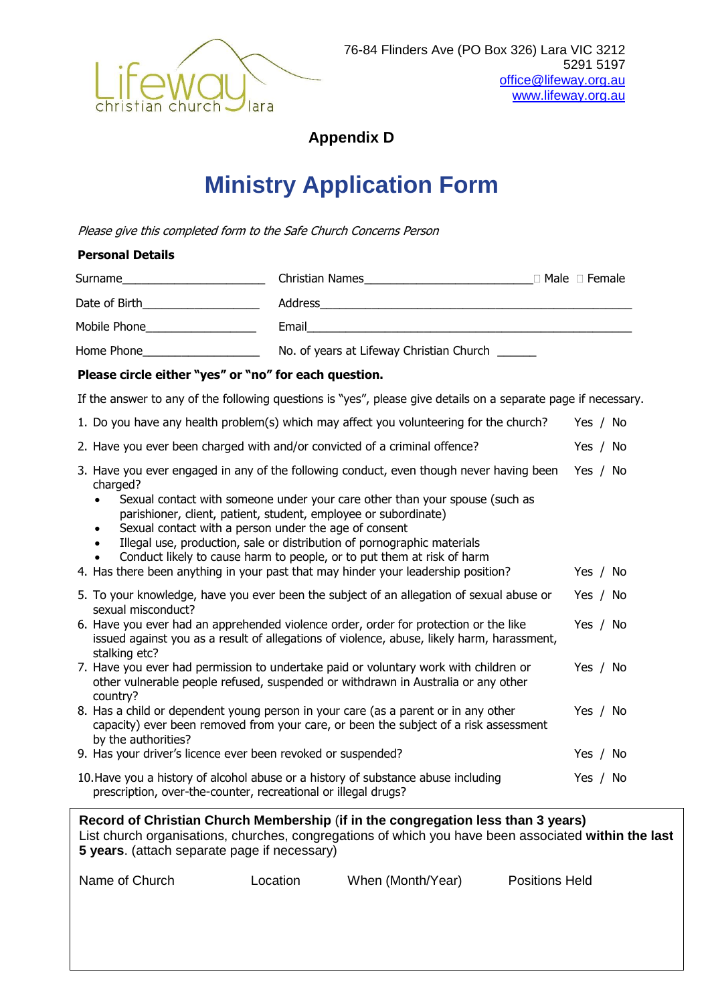

**Appendix D**

# **Ministry Application Form**

Please give this completed form to the Safe Church Concerns Person

#### **Personal Details**

| Surname       | Christian Names                          | ⊦Male ∩ Female |
|---------------|------------------------------------------|----------------|
| Date of Birth | Address                                  |                |
| Mobile Phone  | Email                                    |                |
| Home Phone    | No. of years at Lifeway Christian Church |                |

#### **Please circle either "yes" or "no" for each question.**

If the answer to any of the following questions is "yes", please give details on a separate page if necessary.

- 1. Do you have any health problem(s) which may affect you volunteering for the church? Yes / No
- 2. Have you ever been charged with and/or convicted of a criminal offence? Yes / No
- 3. Have you ever engaged in any of the following conduct, even though never having been Yes / No charged?
	- Sexual contact with someone under your care other than your spouse (such as parishioner, client, patient, student, employee or subordinate)
	- Sexual contact with a person under the age of consent
	- Illegal use, production, sale or distribution of pornographic materials
	- Conduct likely to cause harm to people, or to put them at risk of harm
- 4. Has there been anything in your past that may hinder your leadership position? Yes / No
- 5. To your knowledge, have you ever been the subject of an allegation of sexual abuse or sexual misconduct? Yes / No
- 6. Have you ever had an apprehended violence order, order for protection or the like issued against you as a result of allegations of violence, abuse, likely harm, harassment, stalking etc? Yes / No
- 7. Have you ever had permission to undertake paid or voluntary work with children or other vulnerable people refused, suspended or withdrawn in Australia or any other country? Yes / No
- 8. Has a child or dependent young person in your care (as a parent or in any other capacity) ever been removed from your care, or been the subject of a risk assessment by the authorities? Yes / No 9. Has your driver's licence ever been revoked or suspended? The May been the Yes / No
- 10.Have you a history of alcohol abuse or a history of substance abuse including prescription, over-the-counter, recreational or illegal drugs? Yes / No

**Record of Christian Church Membership** (**if in the congregation less than 3 years)** List church organisations, churches, congregations of which you have been associated **within the last 5 years**. (attach separate page if necessary)

| Name of Church<br>When (Month/Year)<br>Location |  |  |  | <b>Positions Held</b> |
|-------------------------------------------------|--|--|--|-----------------------|
|-------------------------------------------------|--|--|--|-----------------------|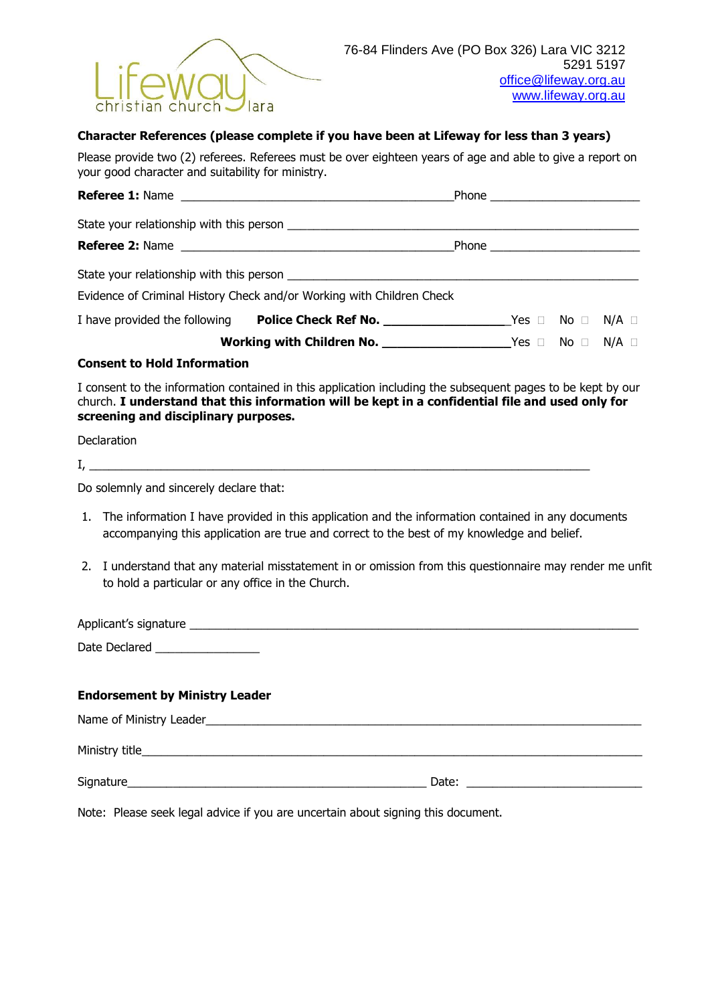

#### **Character References (please complete if you have been at Lifeway for less than 3 years)**

Please provide two (2) referees. Referees must be over eighteen years of age and able to give a report on your good character and suitability for ministry.

|                                    | Evidence of Criminal History Check and/or Working with Children Check                                       |  |  |
|------------------------------------|-------------------------------------------------------------------------------------------------------------|--|--|
|                                    | I have provided the following Police Check Ref No. _____________________________Yes □ No □ N/A □            |  |  |
|                                    |                                                                                                             |  |  |
| <b>Consent to Hold Information</b> |                                                                                                             |  |  |
|                                    | I consent to the information contained in this application including the subsequent pages to be kept by our |  |  |

church. **I understand that this information will be kept in a confidential file and used only for screening and disciplinary purposes.**

Declaration

 $I_{\prime}$   $\qquad$ 

Do solemnly and sincerely declare that:

- 1. The information I have provided in this application and the information contained in any documents accompanying this application are true and correct to the best of my knowledge and belief.
- 2. I understand that any material misstatement in or omission from this questionnaire may render me unfit to hold a particular or any office in the Church.

Applicant's signature \_\_\_\_\_\_\_\_\_\_\_\_\_\_\_\_\_\_\_\_\_\_\_\_\_\_\_\_\_\_\_\_\_\_\_\_\_\_\_\_\_\_\_\_\_\_\_\_\_\_\_\_\_\_\_\_\_\_\_\_\_\_\_\_\_\_\_\_\_ Date Declared \_\_\_\_\_\_\_\_\_\_\_\_\_\_\_\_

#### **Endorsement by Ministry Leader**

| Name of Ministry Leader_ |       |
|--------------------------|-------|
| Ministry title_          |       |
| Signature_               | Date: |

Note: Please seek legal advice if you are uncertain about signing this document.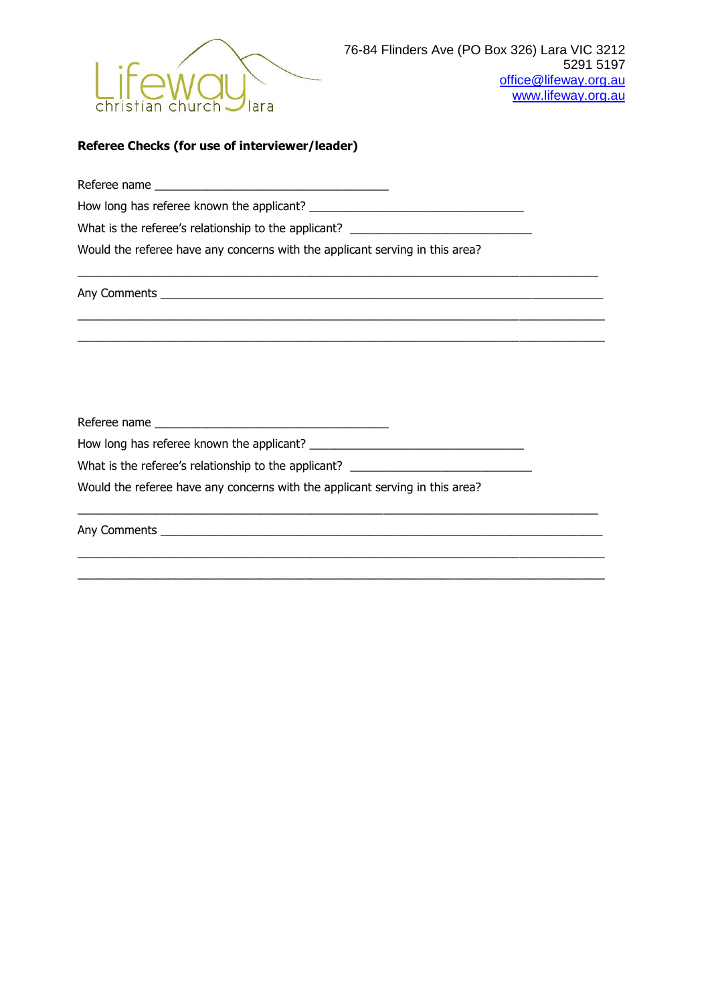

#### **Referee Checks (for use of interviewer/leader)**

Referee name \_\_\_\_\_\_\_\_\_\_\_\_\_\_\_\_\_\_\_\_\_\_\_\_\_\_\_\_\_\_\_\_\_\_\_\_

How long has referee known the applicant?

What is the referee's relationship to the applicant? \_\_\_\_\_\_\_\_\_\_\_\_\_\_\_\_\_\_\_\_\_\_\_\_\_\_\_

Would the referee have any concerns with the applicant serving in this area?

 $\_$  , and the set of the set of the set of the set of the set of the set of the set of the set of the set of the set of the set of the set of the set of the set of the set of the set of the set of the set of the set of th

\_\_\_\_\_\_\_\_\_\_\_\_\_\_\_\_\_\_\_\_\_\_\_\_\_\_\_\_\_\_\_\_\_\_\_\_\_\_\_\_\_\_\_\_\_\_\_\_\_\_\_\_\_\_\_\_\_\_\_\_\_\_\_\_\_\_\_\_\_\_\_\_\_\_\_\_\_\_\_\_\_  $\_$  , and the set of the set of the set of the set of the set of the set of the set of the set of the set of the set of the set of the set of the set of the set of the set of the set of the set of the set of the set of th

 $\_$  , and the set of the set of the set of the set of the set of the set of the set of the set of the set of the set of the set of the set of the set of the set of the set of the set of the set of the set of the set of th

 $\_$  , and the set of the set of the set of the set of the set of the set of the set of the set of the set of the set of the set of the set of the set of the set of the set of the set of the set of the set of the set of th  $\_$  , and the set of the set of the set of the set of the set of the set of the set of the set of the set of the set of the set of the set of the set of the set of the set of the set of the set of the set of the set of th

Any Comments \_\_\_\_\_\_\_\_\_\_\_\_\_\_\_\_\_\_\_\_\_\_\_\_\_\_\_\_\_\_\_\_\_\_\_\_\_\_\_\_\_\_\_\_\_\_\_\_\_\_\_\_\_\_\_\_\_\_\_\_\_\_\_\_\_\_\_\_

Referee name \_\_\_\_\_\_\_\_\_\_\_\_\_\_\_\_\_\_\_\_\_\_\_\_\_\_\_\_\_\_\_\_\_\_\_\_

How long has referee known the applicant? \_\_\_\_\_\_\_\_\_\_\_\_\_\_\_\_\_\_\_\_\_\_\_\_\_\_\_\_\_\_\_\_\_

What is the referee's relationship to the applicant? \_\_\_\_\_\_\_\_\_\_\_\_\_\_\_\_\_\_\_\_\_\_\_\_\_\_\_

Would the referee have any concerns with the applicant serving in this area?

Any Comments \_\_\_\_\_\_\_\_\_\_\_\_\_\_\_\_\_\_\_\_\_\_\_\_\_\_\_\_\_\_\_\_\_\_\_\_\_\_\_\_\_\_\_\_\_\_\_\_\_\_\_\_\_\_\_\_\_\_\_\_\_\_\_\_\_\_\_\_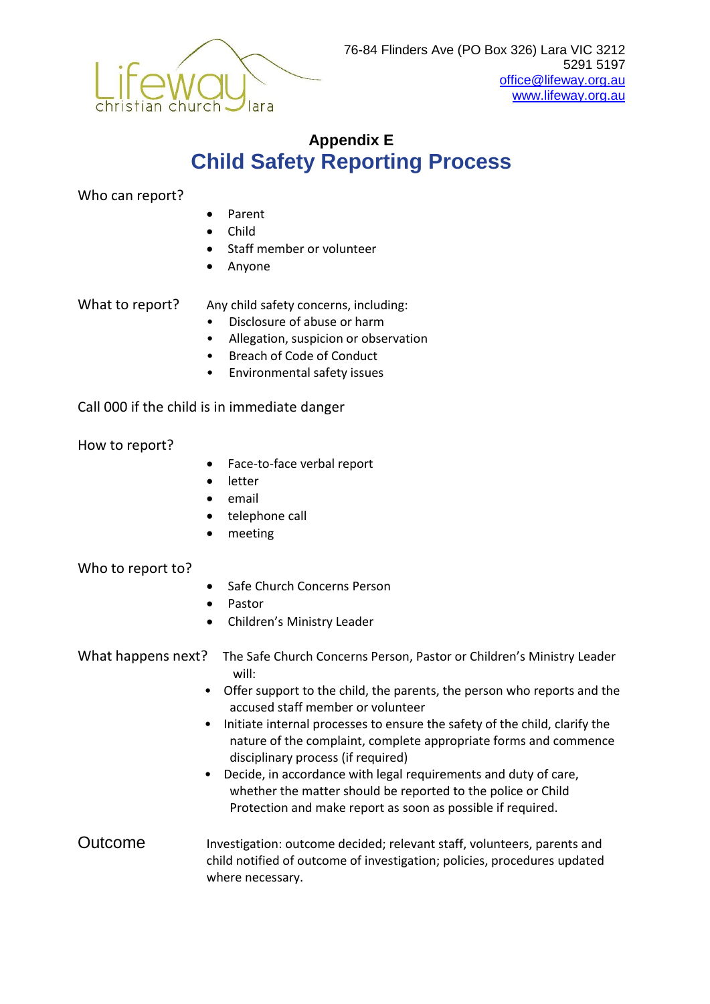

# **Appendix E Child Safety Reporting Process**

Who can report?

- Parent
- Child
- Staff member or volunteer
- Anyone

What to report? Any child safety concerns, including:

- Disclosure of abuse or harm
- Allegation, suspicion or observation
- Breach of Code of Conduct
- Environmental safety issues

Call 000 if the child is in immediate danger

How to report?

- Face-to-face verbal report
- letter
- email
- telephone call
- meeting

#### Who to report to?

- Safe Church Concerns Person
- Pastor
- Children's Ministry Leader

What happens next? The Safe Church Concerns Person, Pastor or Children's Ministry Leader will:

- Offer support to the child, the parents, the person who reports and the accused staff member or volunteer
- Initiate internal processes to ensure the safety of the child, clarify the nature of the complaint, complete appropriate forms and commence disciplinary process (if required)
- Decide, in accordance with legal requirements and duty of care, whether the matter should be reported to the police or Child Protection and make report as soon as possible if required.
- Outcome Investigation: outcome decided; relevant staff, volunteers, parents and child notified of outcome of investigation; policies, procedures updated where necessary.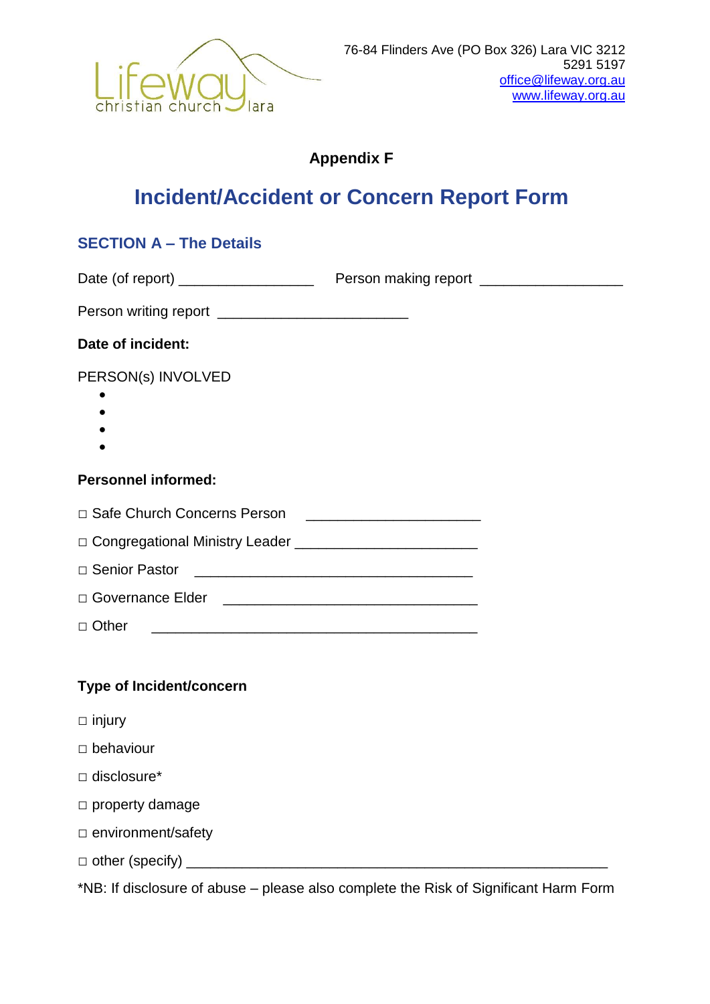

### **Appendix F**

# **Incident/Accident or Concern Report Form**

### **SECTION A – The Details**

| Date (of report) |                      |
|------------------|----------------------|
|                  | Person making report |
|                  |                      |

| Person writing report |  |
|-----------------------|--|
|-----------------------|--|

### **Date of incident:**

PERSON(s) INVOLVED

- $\bullet$
- $\bullet$
- $\bullet$
- $\bullet$

### **Personnel informed:**

| □ Safe Church Concerns Person |  |
|-------------------------------|--|
|                               |  |

□ Congregational Ministry Leader \_\_\_\_\_\_\_\_\_\_\_\_\_\_\_\_\_\_\_\_\_\_\_

| □ Governance Elder |  |
|--------------------|--|
|                    |  |

 $\Box$  Other  $\Box$ 

### **Type of Incident/concern**

- □ injury
- □ behaviour
- □ disclosure\*
- □ property damage
- □ environment/safety
- □ other (specify) \_\_\_\_\_\_\_\_\_\_\_\_\_\_\_\_\_\_\_\_\_\_\_\_\_\_\_\_\_\_\_\_\_\_\_\_\_\_\_\_\_\_\_\_\_\_\_\_\_\_\_\_\_

\*NB: If disclosure of abuse – please also complete the Risk of Significant Harm Form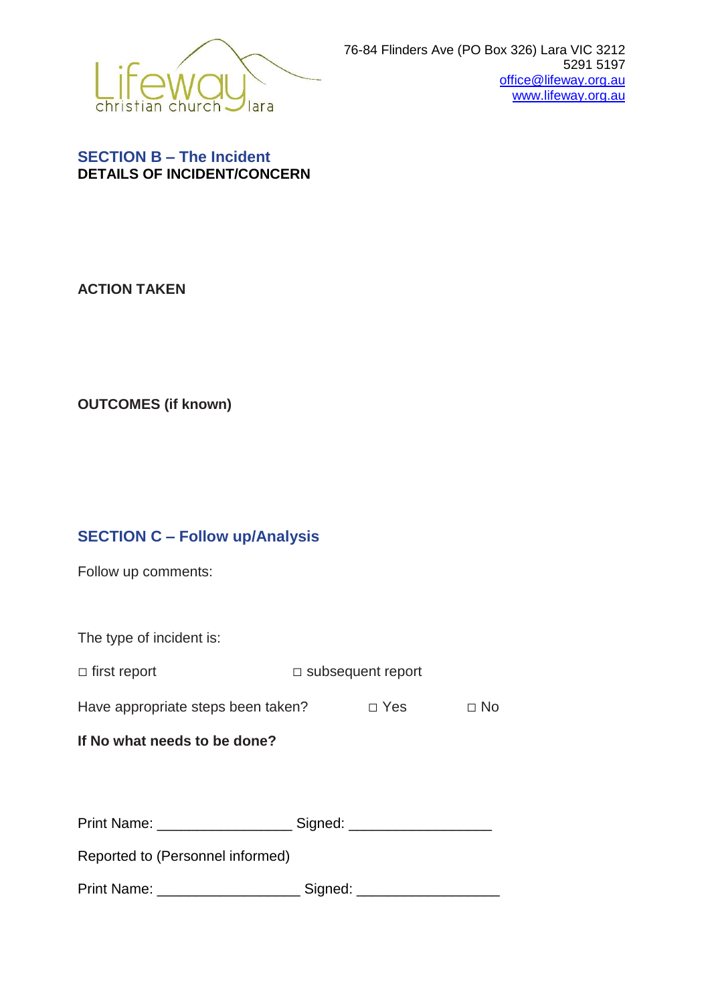

### **SECTION B – The Incident DETAILS OF INCIDENT/CONCERN**

**ACTION TAKEN**

**OUTCOMES (if known)**

# **SECTION C – Follow up/Analysis**

Follow up comments:

The type of incident is:

| $\Box$ first report | $\Box$ subsequent report |
|---------------------|--------------------------|
|                     |                          |

Have appropriate steps been taken?  $□$  Yes  $□$  No

### **If No what needs to be done?**

| <b>Print Name:</b> | Signed: |  |
|--------------------|---------|--|
|--------------------|---------|--|

Reported to (Personnel informed)

Print Name: \_\_\_\_\_\_\_\_\_\_\_\_\_\_\_\_\_\_\_\_\_\_\_\_\_\_ Signed: \_\_\_\_\_\_\_\_\_\_\_\_\_\_\_\_\_\_\_\_\_\_\_\_\_\_\_\_\_\_\_\_\_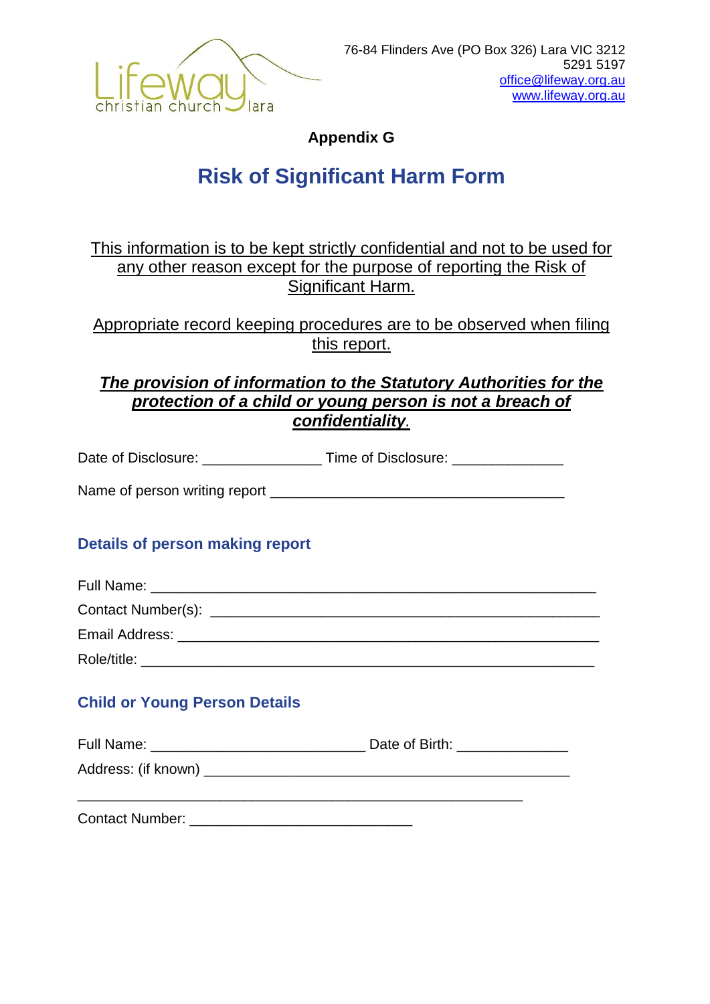

**Appendix G**

# **Risk of Significant Harm Form**

This information is to be kept strictly confidential and not to be used for any other reason except for the purpose of reporting the Risk of Significant Harm.

Appropriate record keeping procedures are to be observed when filing this report.

# *The provision of information to the Statutory Authorities for the protection of a child or young person is not a breach of confidentiality.*

Date of Disclosure: \_\_\_\_\_\_\_\_\_\_\_\_\_\_\_\_\_\_\_\_\_ Time of Disclosure: \_\_\_\_\_\_\_\_\_\_\_\_\_\_\_\_\_\_

Name of person writing report \_\_\_\_\_\_\_\_\_\_\_\_\_\_\_\_\_\_\_\_\_\_\_\_\_\_\_\_\_\_\_\_\_\_\_\_\_

# **Details of person making report**

| Role/title: |  |
|-------------|--|

# **Child or Young Person Details**

| Full Name:          | Date of Birth: |
|---------------------|----------------|
| Address: (if known) |                |
|                     |                |

Contact Number: **Example 20**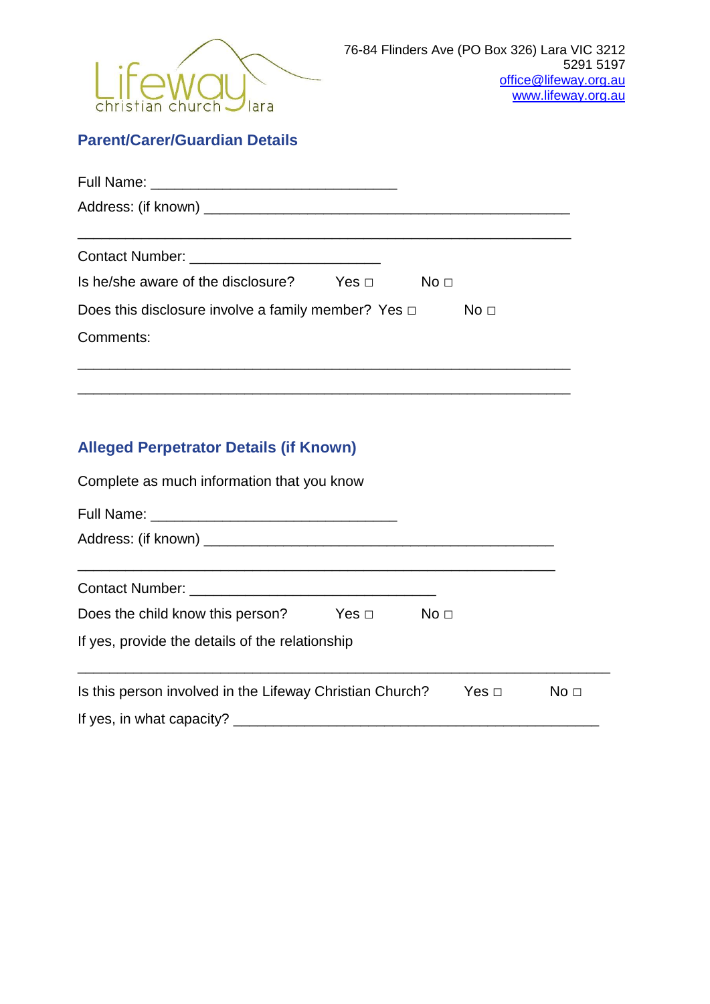

# **Parent/Carer/Guardian Details**

| Is he/she aware of the disclosure? Yes $\Box$ No $\Box$  |  |                 |
|----------------------------------------------------------|--|-----------------|
| Does this disclosure involve a family member? Yes $\Box$ |  | No <sub>1</sub> |
| Comments:                                                |  |                 |
|                                                          |  |                 |

\_\_\_\_\_\_\_\_\_\_\_\_\_\_\_\_\_\_\_\_\_\_\_\_\_\_\_\_\_\_\_\_\_\_\_\_\_\_\_\_\_\_\_\_\_\_\_\_\_\_\_\_\_\_\_\_\_\_\_\_\_\_

# **Alleged Perpetrator Details (if Known)**

| Complete as much information that you know               |                      |  |                 |  |
|----------------------------------------------------------|----------------------|--|-----------------|--|
|                                                          |                      |  |                 |  |
|                                                          |                      |  |                 |  |
| Contact Number: Contact Number:                          |                      |  |                 |  |
| Does the child know this person?                         | $Yes \Box$ No $\Box$ |  |                 |  |
| If yes, provide the details of the relationship          |                      |  |                 |  |
| Is this person involved in the Lifeway Christian Church? |                      |  | No <sub>1</sub> |  |
|                                                          |                      |  |                 |  |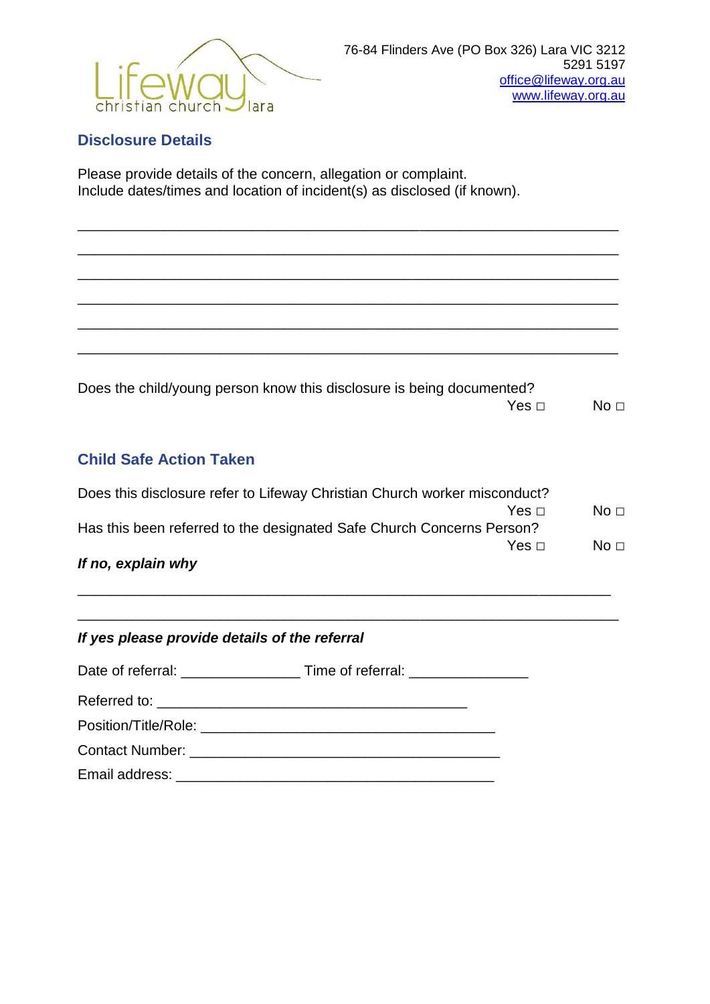

### **Disclosure Details**

Please provide details of the concern, allegation or complaint. Include dates/times and location of incident(s) as disclosed (if known).

Does the child/young person know this disclosure is being documented? Yes  $□$ 

\_\_\_\_\_\_\_\_\_\_\_\_\_\_\_\_\_\_\_\_\_\_\_\_\_\_\_\_\_\_\_\_\_\_\_\_\_\_\_\_\_\_\_\_\_\_\_\_\_\_\_\_\_\_\_\_\_\_\_\_\_\_\_\_\_\_\_\_

\_\_\_\_\_\_\_\_\_\_\_\_\_\_\_\_\_\_\_\_\_\_\_\_\_\_\_\_\_\_\_\_\_\_\_\_\_\_\_\_\_\_\_\_\_\_\_\_\_\_\_\_\_\_\_\_\_\_\_\_\_\_\_\_\_\_\_\_

\_\_\_\_\_\_\_\_\_\_\_\_\_\_\_\_\_\_\_\_\_\_\_\_\_\_\_\_\_\_\_\_\_\_\_\_\_\_\_\_\_\_\_\_\_\_\_\_\_\_\_\_\_\_\_\_\_\_\_\_\_\_\_\_\_\_\_\_

\_\_\_\_\_\_\_\_\_\_\_\_\_\_\_\_\_\_\_\_\_\_\_\_\_\_\_\_\_\_\_\_\_\_\_\_\_\_\_\_\_\_\_\_\_\_\_\_\_\_\_\_\_\_\_\_\_\_\_\_\_\_\_\_\_\_\_\_

\_\_\_\_\_\_\_\_\_\_\_\_\_\_\_\_\_\_\_\_\_\_\_\_\_\_\_\_\_\_\_\_\_\_\_\_\_\_\_\_\_\_\_\_\_\_\_\_\_\_\_\_\_\_\_\_\_\_\_\_\_\_\_\_\_\_\_\_

\_\_\_\_\_\_\_\_\_\_\_\_\_\_\_\_\_\_\_\_\_\_\_\_\_\_\_\_\_\_\_\_\_\_\_\_\_\_\_\_\_\_\_\_\_\_\_\_\_\_\_\_\_\_\_\_\_\_\_\_\_\_\_\_\_\_\_\_

### **Child Safe Action Taken**

| If no, explain why                                                        |                 |
|---------------------------------------------------------------------------|-----------------|
|                                                                           | No <sub>1</sub> |
| Has this been referred to the designated Safe Church Concerns Person?     |                 |
| Yes ⊓∶                                                                    | No <sub>1</sub> |
| Does this disclosure refer to Lifeway Christian Church worker misconduct? |                 |

\_\_\_\_\_\_\_\_\_\_\_\_\_\_\_\_\_\_\_\_\_\_\_\_\_\_\_\_\_\_\_\_\_\_\_\_\_\_\_\_\_\_\_\_\_\_\_\_\_\_\_\_\_\_\_\_\_\_\_\_\_\_\_\_\_\_\_

\_\_\_\_\_\_\_\_\_\_\_\_\_\_\_\_\_\_\_\_\_\_\_\_\_\_\_\_\_\_\_\_\_\_\_\_\_\_\_\_\_\_\_\_\_\_\_\_\_\_\_\_\_\_\_\_\_\_\_\_\_\_\_\_\_\_\_\_

| If yes please provide details of the referral |  |  |  |  |
|-----------------------------------------------|--|--|--|--|
|                                               |  |  |  |  |
|                                               |  |  |  |  |
|                                               |  |  |  |  |
|                                               |  |  |  |  |
|                                               |  |  |  |  |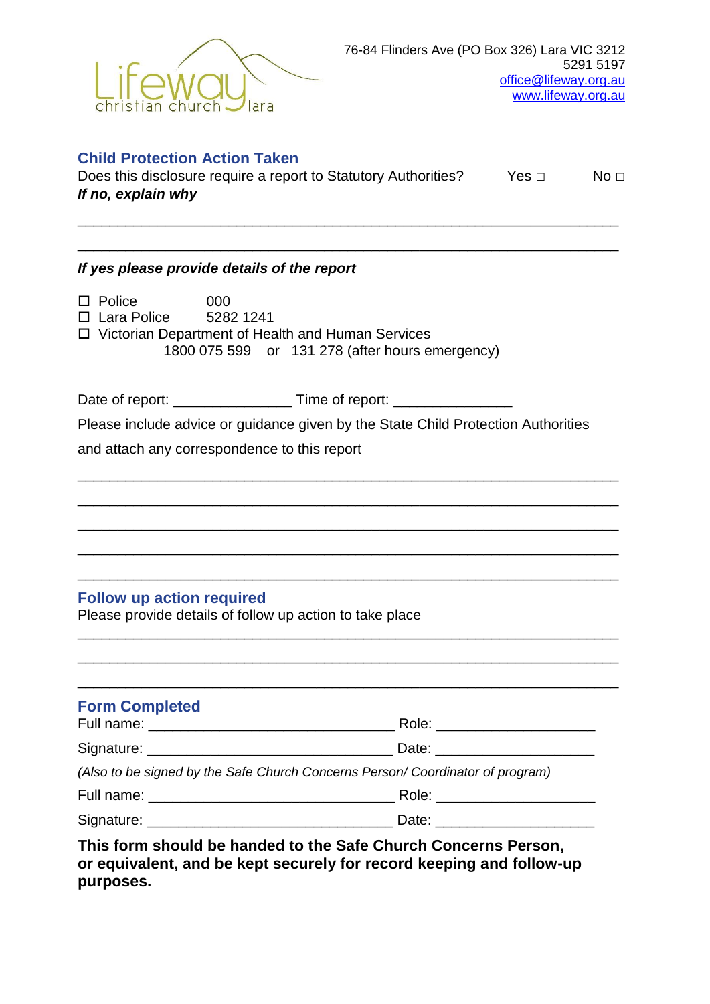

| <b>Child Protection Action Taken</b><br>Does this disclosure require a report to Statutory Authorities?<br>If no, explain why                                     | No <sub>1</sub> |  |
|-------------------------------------------------------------------------------------------------------------------------------------------------------------------|-----------------|--|
| If yes please provide details of the report                                                                                                                       |                 |  |
| $\square$ Police<br>000<br>$\Box$ Lara Police 5282 1241<br>□ Victorian Department of Health and Human Services<br>1800 075 599 or 131 278 (after hours emergency) |                 |  |
|                                                                                                                                                                   |                 |  |
| Please include advice or guidance given by the State Child Protection Authorities                                                                                 |                 |  |
| and attach any correspondence to this report                                                                                                                      |                 |  |
| <b>Follow up action required</b><br>Please provide details of follow up action to take place                                                                      |                 |  |
| <b>Form Completed</b>                                                                                                                                             |                 |  |
|                                                                                                                                                                   |                 |  |
| (Also to be signed by the Safe Church Concerns Person/ Coordinator of program)                                                                                    |                 |  |
|                                                                                                                                                                   |                 |  |
|                                                                                                                                                                   |                 |  |
| This form should be handed to the Safe Church Concerns Person,<br>or equivalent, and be kept securely for record keeping and follow-up                            |                 |  |

**purposes.**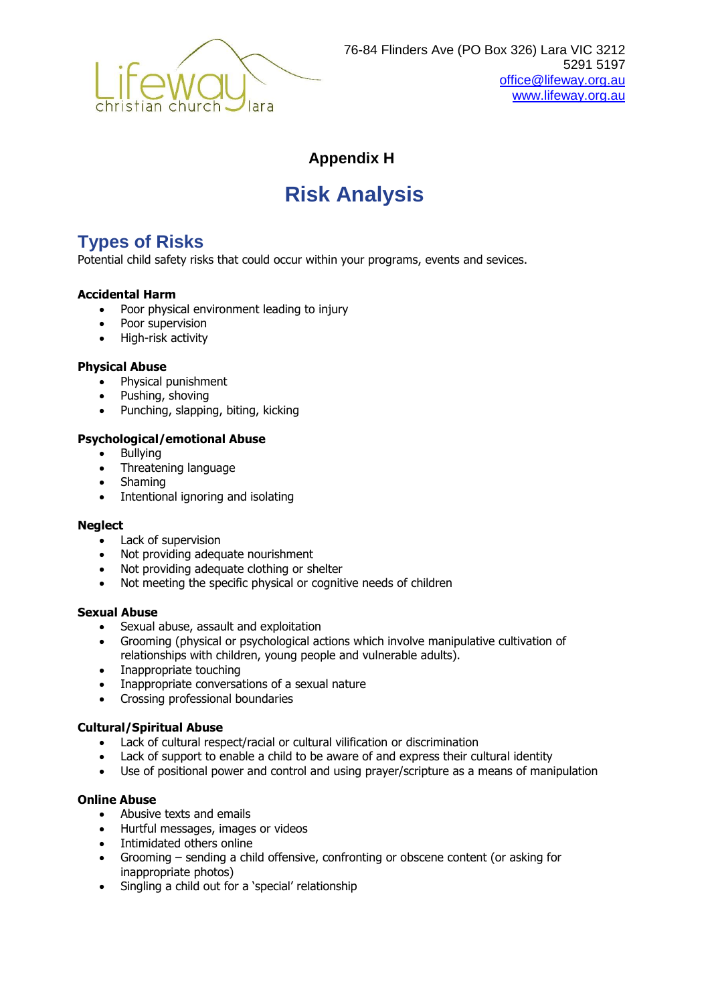

### **Appendix H**

# **Risk Analysis**

# **Types of Risks**

Potential child safety risks that could occur within your programs, events and sevices.

#### **Accidental Harm**

- Poor physical environment leading to injury
- Poor supervision
- High-risk activity

#### **Physical Abuse**

- Physical punishment
- Pushing, shoving
- Punching, slapping, biting, kicking

#### **Psychological/emotional Abuse**

- Bullying
- Threatening language
- Shaming
- Intentional ignoring and isolating

#### **Neglect**

- Lack of supervision
- Not providing adequate nourishment
- Not providing adequate clothing or shelter
- Not meeting the specific physical or cognitive needs of children

#### **Sexual Abuse**

- Sexual abuse, assault and exploitation
- Grooming (physical or psychological actions which involve manipulative cultivation of relationships with children, young people and vulnerable adults).
- Inappropriate touching
- Inappropriate conversations of a sexual nature
- Crossing professional boundaries

#### **Cultural/Spiritual Abuse**

- Lack of cultural respect/racial or cultural vilification or discrimination
- Lack of support to enable a child to be aware of and express their cultural identity
- Use of positional power and control and using prayer/scripture as a means of manipulation

#### **Online Abuse**

- Abusive texts and emails
- Hurtful messages, images or videos
- Intimidated others online
- Grooming sending a child offensive, confronting or obscene content (or asking for inappropriate photos)
- Singling a child out for a 'special' relationship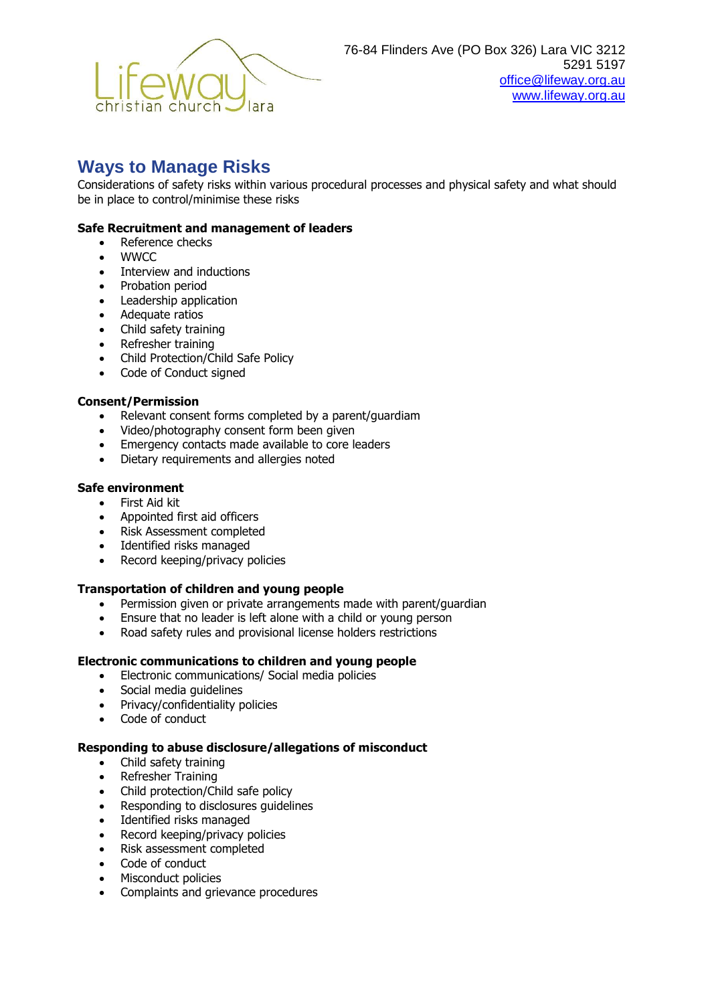

# **Ways to Manage Risks**

Considerations of safety risks within various procedural processes and physical safety and what should be in place to control/minimise these risks

#### **Safe Recruitment and management of leaders**

- Reference checks
- . WWCC
- Interview and inductions
- Probation period
- Leadership application
- Adequate ratios
- Child safety training
- Refresher training
- Child Protection/Child Safe Policy
- Code of Conduct signed

#### **Consent/Permission**

- Relevant consent forms completed by a parent/guardiam
- Video/photography consent form been given
- Emergency contacts made available to core leaders
- Dietary requirements and allergies noted

#### **Safe environment**

- First Aid kit
- Appointed first aid officers
- Risk Assessment completed
- Identified risks managed
- Record keeping/privacy policies

#### **Transportation of children and young people**

- Permission given or private arrangements made with parent/guardian
- Ensure that no leader is left alone with a child or young person
- Road safety rules and provisional license holders restrictions

#### **Electronic communications to children and young people**

- Electronic communications/ Social media policies
- Social media guidelines
- Privacy/confidentiality policies
- Code of conduct

#### **Responding to abuse disclosure/allegations of misconduct**

- Child safety training
- Refresher Training
- Child protection/Child safe policy
- Responding to disclosures quidelines
- Identified risks managed
- Record keeping/privacy policies
- Risk assessment completed
- Code of conduct
- Misconduct policies
- Complaints and grievance procedures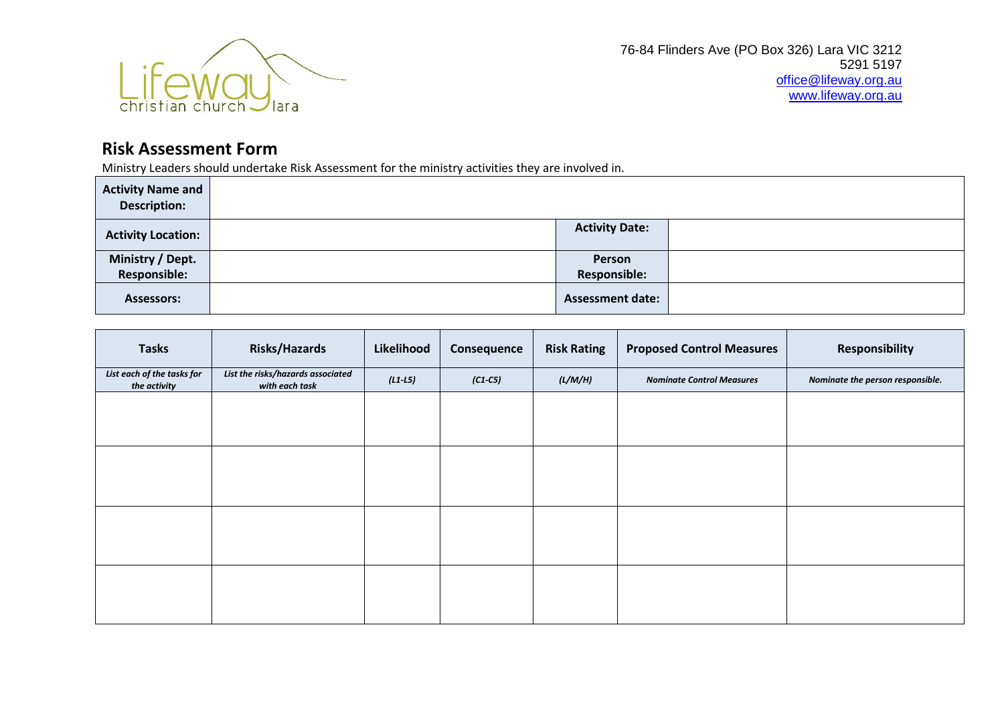

# **Risk Assessment Form**

Ministry Leaders should undertake Risk Assessment for the ministry activities they are involved in.

| <b>Activity Name and</b><br><b>Description:</b> |                         |  |
|-------------------------------------------------|-------------------------|--|
| <b>Activity Location:</b>                       | <b>Activity Date:</b>   |  |
| Ministry / Dept.                                | Person                  |  |
| <b>Responsible:</b>                             | <b>Responsible:</b>     |  |
| <b>Assessors:</b>                               | <b>Assessment date:</b> |  |

| <b>Tasks</b>                               | <b>Risks/Hazards</b>                                | Likelihood | Consequence | <b>Risk Rating</b> | <b>Proposed Control Measures</b> | <b>Responsibility</b>            |
|--------------------------------------------|-----------------------------------------------------|------------|-------------|--------------------|----------------------------------|----------------------------------|
| List each of the tasks for<br>the activity | List the risks/hazards associated<br>with each task | $(L1-L5)$  | $(C1 - C5)$ | (L/M/H)            | <b>Nominate Control Measures</b> | Nominate the person responsible. |
|                                            |                                                     |            |             |                    |                                  |                                  |
|                                            |                                                     |            |             |                    |                                  |                                  |
|                                            |                                                     |            |             |                    |                                  |                                  |
|                                            |                                                     |            |             |                    |                                  |                                  |
|                                            |                                                     |            |             |                    |                                  |                                  |
|                                            |                                                     |            |             |                    |                                  |                                  |
|                                            |                                                     |            |             |                    |                                  |                                  |
|                                            |                                                     |            |             |                    |                                  |                                  |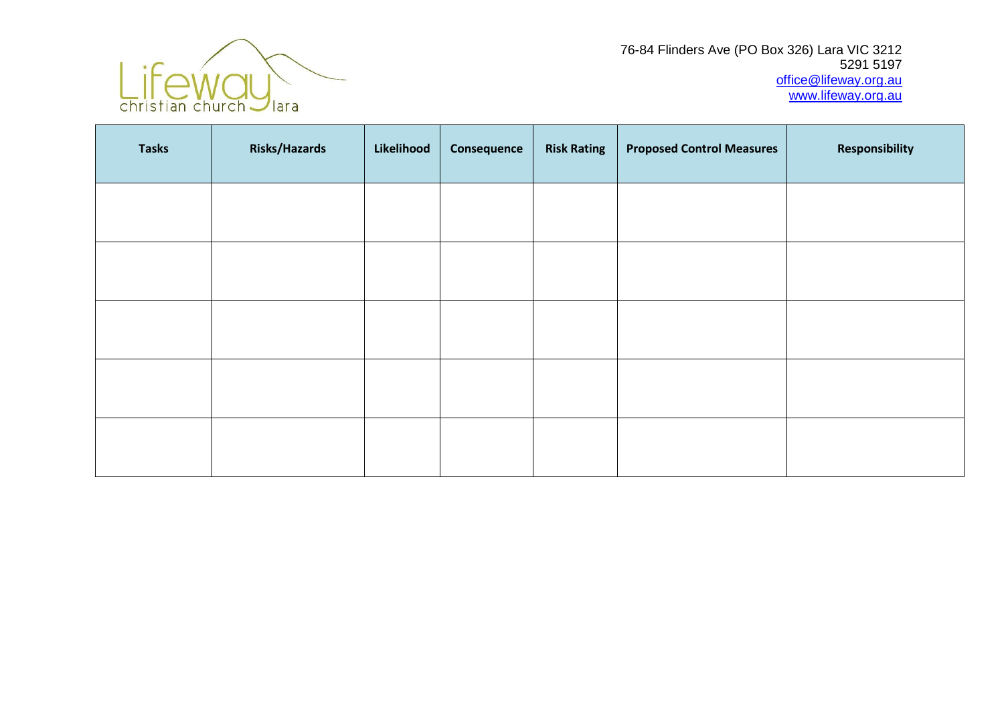

76-84 Flinders Ave (PO Box 326) Lara VIC 3212 5291 5197 [office@lifeway.org.au](mailto:office@lifeway.org.au) [www.lifeway.org.au](http://www.lifeway.org.au/)

| <b>Tasks</b> | <b>Risks/Hazards</b> | Likelihood | Consequence | <b>Risk Rating</b> | <b>Proposed Control Measures</b> | Responsibility |
|--------------|----------------------|------------|-------------|--------------------|----------------------------------|----------------|
|              |                      |            |             |                    |                                  |                |
|              |                      |            |             |                    |                                  |                |
|              |                      |            |             |                    |                                  |                |
|              |                      |            |             |                    |                                  |                |
|              |                      |            |             |                    |                                  |                |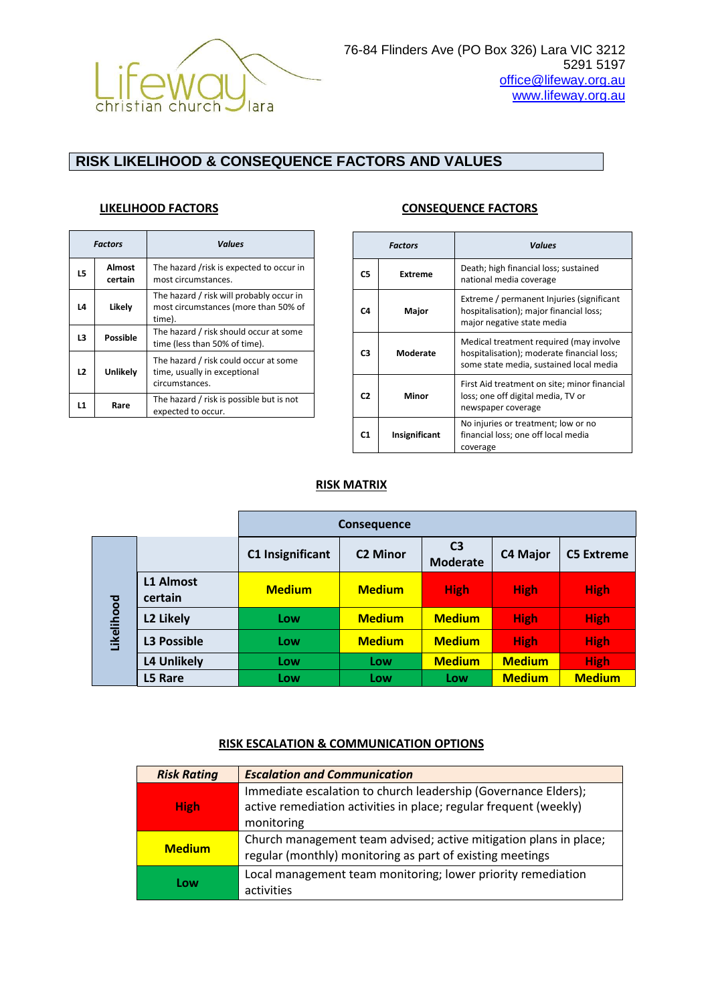

### **RISK LIKELIHOOD & CONSEQUENCE FACTORS AND VALUES**

|    | <b>Factors</b>    | <b>Values</b>                                                                              |
|----|-------------------|--------------------------------------------------------------------------------------------|
| L5 | Almost<br>certain | The hazard /risk is expected to occur in<br>most circumstances.                            |
| L4 | Likely            | The hazard / risk will probably occur in<br>most circumstances (more than 50% of<br>time). |
| L3 | Possible          | The hazard / risk should occur at some<br>time (less than 50% of time).                    |
| L2 | Unlikely          | The hazard / risk could occur at some<br>time, usually in exceptional<br>circumstances.    |
| L1 | Rare              | The hazard / risk is possible but is not<br>expected to occur.                             |

| <b>Factors</b> |                | <b>Values</b>                                                                                                                    |  |  |
|----------------|----------------|----------------------------------------------------------------------------------------------------------------------------------|--|--|
| C5             | <b>Extreme</b> | Death; high financial loss; sustained<br>national media coverage                                                                 |  |  |
| C4             | Major          | Extreme / permanent Injuries (significant<br>hospitalisation); major financial loss;<br>major negative state media               |  |  |
| CЗ             | Moderate       | Medical treatment required (may involve<br>hospitalisation); moderate financial loss;<br>some state media, sustained local media |  |  |
| C <sub>2</sub> | Minor          | First Aid treatment on site; minor financial<br>loss; one off digital media, TV or<br>newspaper coverage                         |  |  |
| C1.            | Insignificant  | No injuries or treatment; low or no<br>financial loss; one off local media<br>coverage                                           |  |  |

#### **RISK MATRIX**

|            |                             |                  | <b>Consequence</b> |                                   |                 |                   |
|------------|-----------------------------|------------------|--------------------|-----------------------------------|-----------------|-------------------|
| Likelihood |                             | C1 Insignificant | <b>C2 Minor</b>    | C <sub>3</sub><br><b>Moderate</b> | <b>C4 Major</b> | <b>C5 Extreme</b> |
|            | <b>L1 Almost</b><br>certain | <b>Medium</b>    | <b>Medium</b>      | <b>High</b>                       | <b>High</b>     | <b>High</b>       |
|            | L2 Likely                   | Low              | <b>Medium</b>      | <b>Medium</b>                     | <b>High</b>     | <b>High</b>       |
|            | <b>L3 Possible</b>          | Low              | <b>Medium</b>      | <b>Medium</b>                     | <b>High</b>     | <b>High</b>       |
|            | <b>L4 Unlikely</b>          | Low              | Low                | <b>Medium</b>                     | <b>Medium</b>   | <b>High</b>       |
|            | L5 Rare                     | Low              | Low                | Low                               | <b>Medium</b>   | <b>Medium</b>     |

#### **RISK ESCALATION & COMMUNICATION OPTIONS**

| <b>Risk Rating</b> | <b>Escalation and Communication</b>                                                                                                               |
|--------------------|---------------------------------------------------------------------------------------------------------------------------------------------------|
| <b>High</b>        | Immediate escalation to church leadership (Governance Elders);<br>active remediation activities in place; regular frequent (weekly)<br>monitoring |
| <b>Medium</b>      | Church management team advised; active mitigation plans in place;<br>regular (monthly) monitoring as part of existing meetings                    |
| Low                | Local management team monitoring; lower priority remediation<br>activities                                                                        |

#### **LIKELIHOOD FACTORS CONSEQUENCE FACTORS**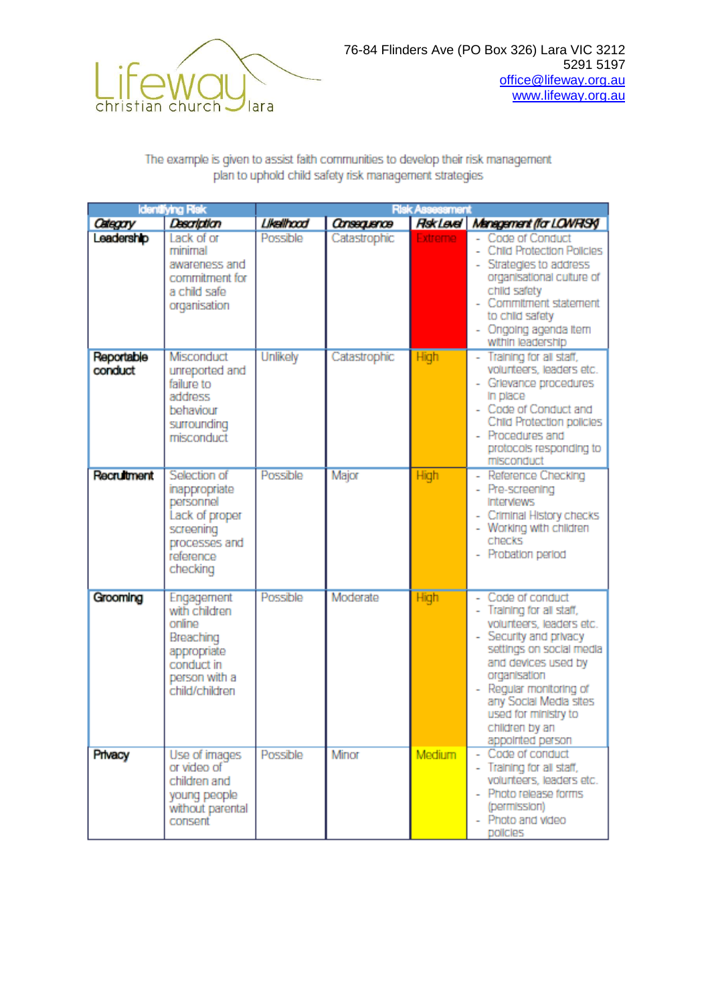

#### The example is given to assist faith communities to develop their risk management plan to uphold child safety risk management strategies

|                       | Identifying Risk                                                                                                    |                 |                    | <b>Risk Assessment</b> |                                                                                                                                                                                                                                                                                            |
|-----------------------|---------------------------------------------------------------------------------------------------------------------|-----------------|--------------------|------------------------|--------------------------------------------------------------------------------------------------------------------------------------------------------------------------------------------------------------------------------------------------------------------------------------------|
| Category              | Description                                                                                                         | Likelihood      | <b>Consequence</b> | <b>Rsk Level</b>       | Management (for LOWRISK)                                                                                                                                                                                                                                                                   |
| Leadership            | Lack of or<br>minimal<br>awareness and<br>commitment for<br>a child safe<br>organisation                            | Possible        | Catastrophic       | Extreme                | - Code of Conduct<br>Child Protection Policies<br>Strategies to address<br>organisational culture of<br>child safety<br>Commitment statement<br>to child safety<br>- Ongoing agenda item<br>within leadership                                                                              |
| Reportable<br>conduct | Misconduct<br>unreported and<br>failure to<br>address<br>behaviour<br>surrounding<br>misconduct                     | <b>Unlikely</b> | Catastrophic       | High                   | - Training for all staff,<br>volunteers, leaders etc.<br>- Grievance procedures<br>In place<br>- Code of Conduct and<br>Child Protection policies<br>- Procedures and<br>protocols responding to<br>misconduct                                                                             |
| <b>Recruitment</b>    | Selection of<br>inappropriate<br>personnel<br>Lack of proper<br>screening<br>processes and<br>reference<br>checking | Possible        | Major              | High                   | - Reference Checking<br>- Pre-screening<br><b>Interviews</b><br>- Criminal History checks<br>- Working with children<br>checks<br>- Probation period                                                                                                                                       |
| Grooming              | Engagement<br>with children<br>online<br>Breaching<br>appropriate<br>conduct in<br>person with a<br>child/children  | Possible        | Moderate           | High                   | - Code of conduct<br>- Training for all staff,<br>volunteers, leaders etc.<br>- Security and privacy<br>settings on social media<br>and devices used by<br>organisation<br>- Regular monitoring of<br>any Social Media sites<br>used for ministry to<br>chlidren by an<br>appointed person |
| Privacy               | Use of images<br>or video of<br>children and<br>young people<br>without parental<br>consent                         | Possible        | Minor              | Medium                 | Code of conduct<br>- Training for all staff,<br>volunteers, leaders etc.<br>- Photo release forms<br>(permission)<br>- Photo and video<br>policies                                                                                                                                         |